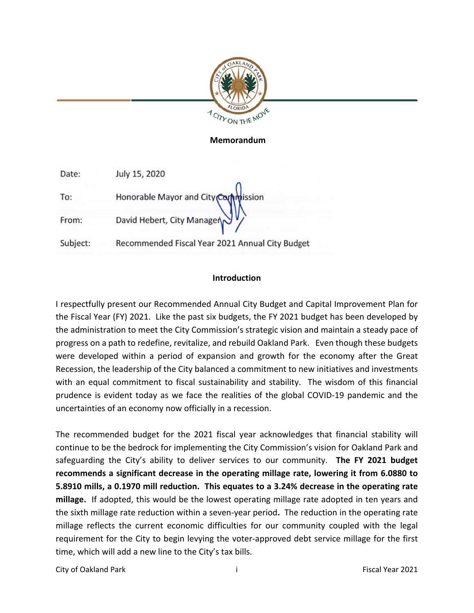

# **Memorandum**  Memorandum

| Date:    | July 15, 2020                                   |
|----------|-------------------------------------------------|
| To:      | Honorable Mayor and City Commission             |
| From:    | David Hebert, City Manager                      |
| Subject: | Recommended Fiscal Year 2021 Annual City Budget |

# **Introduction** Introduction

I respectfully present our Recommended Annual City Budget and Capital Improvement Plan for the Fiscal Year (FY) 2021. Like the past six budgets, the FY 2021 budget has been developed by the administration to meet the City Commission's strategic vision and maintain a steady pace of progress on a path to redefine, revitalize, and rebuild Oakland Park. Even though these budgets were developed within a period of expansion and growth for the economy after the Great Recession, the leadership of the City balanced a commitment to new initiatives and investments with an equal commitment to fiscal sustainability and stability. The wisdom of this financial prudence is evident today as we face the realities of the global COVID‐19 pandemic and the uncertainties of an economy now officially in a recession.

The recommended budget for the 2021 fiscal year acknowledges that financial stability will continue to be the bedrock for implementing the City Commission's vision for Oakland Park and safeguarding the City's ability to deliver services to our community. **The FY 2021 budget recommends a significant decrease in the operating millage rate, lowering it from 6.0880 to 5.8910 mills, a 0.1970 mill reduction. This equates to a 3.24% decrease in the operating rate millage.** If adopted, this would be the lowest operating millage rate adopted in ten years and the sixth millage rate reduction within a seven‐year period**.** The reduction in the operating rate millage reflects the current economic difficulties for our community coupled with the legal requirement for the City to begin levying the voter‐approved debt service millage for the first time, which will add a new line to the City's tax bills.

City of Oakland Park **i** Fiscal Year 2021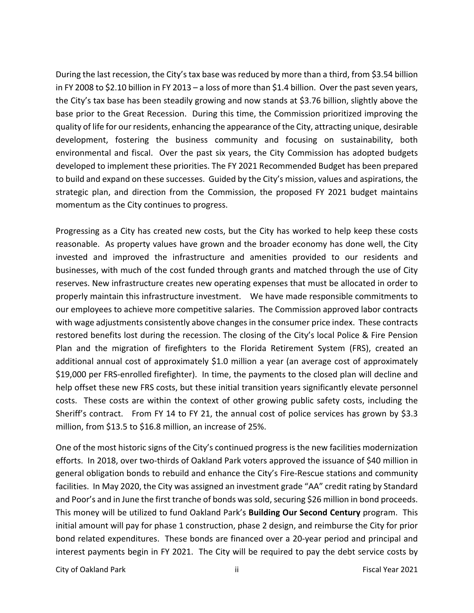During the last recession, the City's tax base wasreduced by more than a third, from \$3.54 billion in FY 2008 to \$2.10 billion in FY 2013 – a loss of more than \$1.4 billion. Over the past seven years, the City's tax base has been steadily growing and now stands at \$3.76 billion, slightly above the base prior to the Great Recession. During this time, the Commission prioritized improving the quality of life for our residents, enhancing the appearance of the City, attracting unique, desirable development, fostering the business community and focusing on sustainability, both environmental and fiscal. Over the past six years, the City Commission has adopted budgets developed to implement these priorities. The FY 2021 Recommended Budget has been prepared to build and expand on these successes. Guided by the City's mission, values and aspirations, the strategic plan, and direction from the Commission, the proposed FY 2021 budget maintains momentum as the City continues to progress.

Progressing as a City has created new costs, but the City has worked to help keep these costs reasonable. As property values have grown and the broader economy has done well, the City invested and improved the infrastructure and amenities provided to our residents and businesses, with much of the cost funded through grants and matched through the use of City reserves. New infrastructure creates new operating expenses that must be allocated in order to properly maintain this infrastructure investment. We have made responsible commitments to our employees to achieve more competitive salaries. The Commission approved labor contracts with wage adjustments consistently above changes in the consumer price index. These contracts restored benefits lost during the recession. The closing of the City's local Police & Fire Pension Plan and the migration of firefighters to the Florida Retirement System (FRS), created an additional annual cost of approximately \$1.0 million a year (an average cost of approximately \$19,000 per FRS‐enrolled firefighter). In time, the payments to the closed plan will decline and help offset these new FRS costs, but these initial transition years significantly elevate personnel costs. These costs are within the context of other growing public safety costs, including the Sheriff's contract. From FY 14 to FY 21, the annual cost of police services has grown by \$3.3 million, from \$13.5 to \$16.8 million, an increase of 25%.

One of the most historic signs of the City's continued progress is the new facilities modernization efforts. In 2018, over two‐thirds of Oakland Park voters approved the issuance of \$40 million in general obligation bonds to rebuild and enhance the City's Fire‐Rescue stations and community facilities. In May 2020, the City was assigned an investment grade "AA" credit rating by Standard and Poor's and in June the first tranche of bonds was sold, securing \$26 million in bond proceeds. This money will be utilized to fund Oakland Park's **Building Our Second Century** program. This initial amount will pay for phase 1 construction, phase 2 design, and reimburse the City for prior bond related expenditures. These bonds are financed over a 20‐year period and principal and interest payments begin in FY 2021. The City will be required to pay the debt service costs by

City of Oakland Park **ii ii ii charge iii Fiscal Year 2021**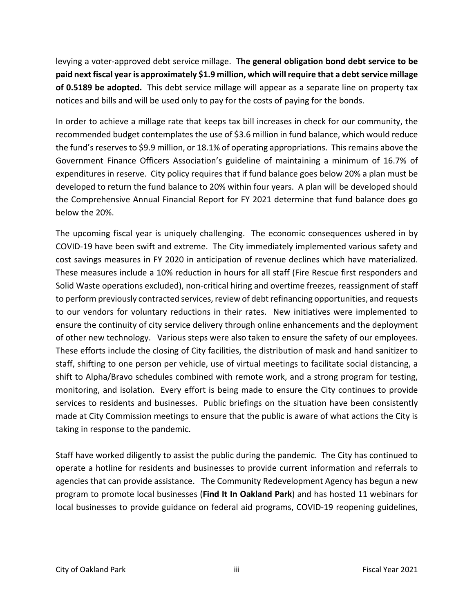levying a voter‐approved debt service millage. **The general obligation bond debt service to be paid next fiscal year is approximately \$1.9 million, which willrequire that a debt service millage of 0.5189 be adopted.** This debt service millage will appear as a separate line on property tax notices and bills and will be used only to pay for the costs of paying for the bonds.

In order to achieve a millage rate that keeps tax bill increases in check for our community, the recommended budget contemplates the use of \$3.6 million in fund balance, which would reduce the fund's reserves to \$9.9 million, or 18.1% of operating appropriations. This remains above the Government Finance Officers Association's guideline of maintaining a minimum of 16.7% of expenditures in reserve. City policy requires that if fund balance goes below 20% a plan must be developed to return the fund balance to 20% within four years. A plan will be developed should the Comprehensive Annual Financial Report for FY 2021 determine that fund balance does go below the 20%.

The upcoming fiscal year is uniquely challenging. The economic consequences ushered in by COVID‐19 have been swift and extreme. The City immediately implemented various safety and cost savings measures in FY 2020 in anticipation of revenue declines which have materialized. These measures include a 10% reduction in hours for all staff (Fire Rescue first responders and Solid Waste operations excluded), non-critical hiring and overtime freezes, reassignment of staff to perform previously contracted services, review of debt refinancing opportunities, and requests to our vendors for voluntary reductions in their rates. New initiatives were implemented to ensure the continuity of city service delivery through online enhancements and the deployment of other new technology. Various steps were also taken to ensure the safety of our employees. These efforts include the closing of City facilities, the distribution of mask and hand sanitizer to staff, shifting to one person per vehicle, use of virtual meetings to facilitate social distancing, a shift to Alpha/Bravo schedules combined with remote work, and a strong program for testing, monitoring, and isolation. Every effort is being made to ensure the City continues to provide services to residents and businesses. Public briefings on the situation have been consistently made at City Commission meetings to ensure that the public is aware of what actions the City is taking in response to the pandemic.

Staff have worked diligently to assist the public during the pandemic. The City has continued to operate a hotline for residents and businesses to provide current information and referrals to agencies that can provide assistance. The Community Redevelopment Agency has begun a new program to promote local businesses (**Find It In Oakland Park**) and has hosted 11 webinars for local businesses to provide guidance on federal aid programs, COVID‐19 reopening guidelines,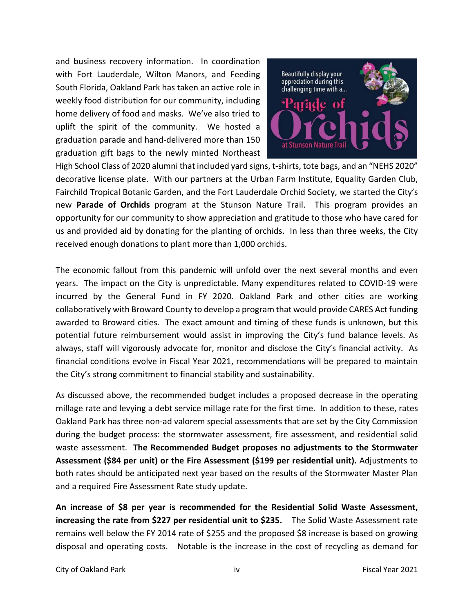and business recovery information. In coordination with Fort Lauderdale, Wilton Manors, and Feeding South Florida, Oakland Park has taken an active role in weekly food distribution for our community, including home delivery of food and masks. We've also tried to uplift the spirit of the community. We hosted a graduation parade and hand‐delivered more than 150 graduation gift bags to the newly minted Northeast



High School Class of 2020 alumni that included yard signs, t-shirts, tote bags, and an "NEHS 2020" decorative license plate. With our partners at the Urban Farm Institute, Equality Garden Club, Fairchild Tropical Botanic Garden, and the Fort Lauderdale Orchid Society, we started the City's new **Parade of Orchids** program at the Stunson Nature Trail. This program provides an opportunity for our community to show appreciation and gratitude to those who have cared for us and provided aid by donating for the planting of orchids. In less than three weeks, the City received enough donations to plant more than 1,000 orchids.

The economic fallout from this pandemic will unfold over the next several months and even years. The impact on the City is unpredictable. Many expenditures related to COVID‐19 were incurred by the General Fund in FY 2020. Oakland Park and other cities are working collaboratively with Broward County to develop a program that would provide CARES Act funding awarded to Broward cities. The exact amount and timing of these funds is unknown, but this potential future reimbursement would assist in improving the City's fund balance levels. As always, staff will vigorously advocate for, monitor and disclose the City's financial activity. As financial conditions evolve in Fiscal Year 2021, recommendations will be prepared to maintain the City's strong commitment to financial stability and sustainability.

As discussed above, the recommended budget includes a proposed decrease in the operating millage rate and levying a debt service millage rate for the first time. In addition to these, rates Oakland Park has three non‐ad valorem special assessments that are set by the City Commission during the budget process: the stormwater assessment, fire assessment, and residential solid waste assessment. **The Recommended Budget proposes no adjustments to the Stormwater Assessment (\$84 per unit) or the Fire Assessment (\$199 per residential unit).** Adjustments to both rates should be anticipated next year based on the results of the Stormwater Master Plan and a required Fire Assessment Rate study update.

**An increase of \$8 per year is recommended for the Residential Solid Waste Assessment, increasing the rate from \$227 per residential unit to \$235.** The Solid Waste Assessment rate remains well below the FY 2014 rate of \$255 and the proposed \$8 increase is based on growing disposal and operating costs. Notable is the increase in the cost of recycling as demand for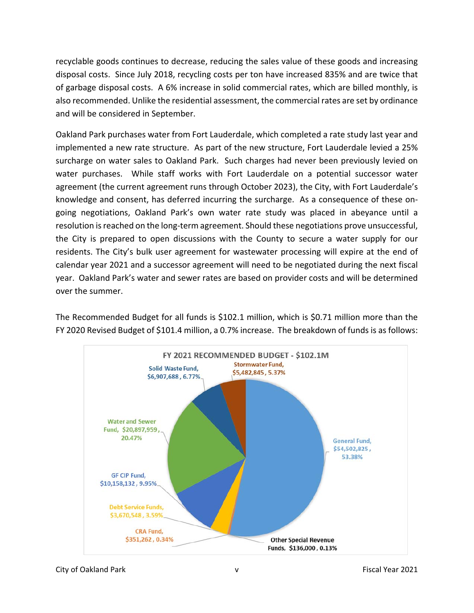recyclable goods continues to decrease, reducing the sales value of these goods and increasing disposal costs. Since July 2018, recycling costs per ton have increased 835% and are twice that of garbage disposal costs. A 6% increase in solid commercial rates, which are billed monthly, is also recommended. Unlike the residential assessment, the commercial rates are set by ordinance and will be considered in September.

Oakland Park purchases water from Fort Lauderdale, which completed a rate study last year and implemented a new rate structure. As part of the new structure, Fort Lauderdale levied a 25% surcharge on water sales to Oakland Park. Such charges had never been previously levied on water purchases. While staff works with Fort Lauderdale on a potential successor water agreement (the current agreement runs through October 2023), the City, with Fort Lauderdale's knowledge and consent, has deferred incurring the surcharge. As a consequence of these on‐ going negotiations, Oakland Park's own water rate study was placed in abeyance until a resolution is reached on the long-term agreement. Should these negotiations prove unsuccessful, the City is prepared to open discussions with the County to secure a water supply for our residents. The City's bulk user agreement for wastewater processing will expire at the end of calendar year 2021 and a successor agreement will need to be negotiated during the next fiscal year. Oakland Park's water and sewer rates are based on provider costs and will be determined over the summer.

The Recommended Budget for all funds is \$102.1 million, which is \$0.71 million more than the FY 2020 Revised Budget of \$101.4 million, a 0.7% increase. The breakdown of funds is as follows:

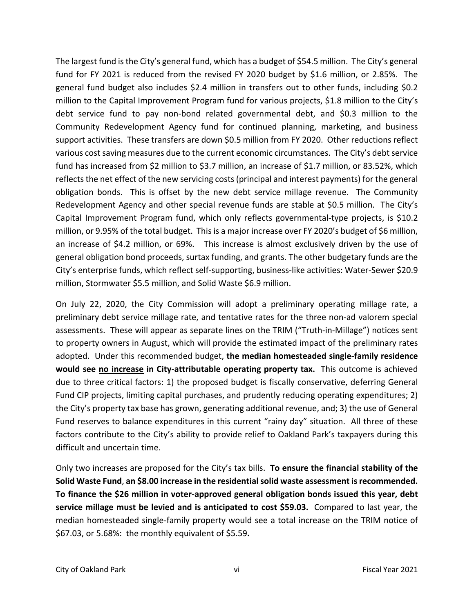The largest fund is the City's general fund, which has a budget of \$54.5 million. The City's general fund for FY 2021 is reduced from the revised FY 2020 budget by \$1.6 million, or 2.85%. The general fund budget also includes \$2.4 million in transfers out to other funds, including \$0.2 million to the Capital Improvement Program fund for various projects, \$1.8 million to the City's debt service fund to pay non-bond related governmental debt, and \$0.3 million to the Community Redevelopment Agency fund for continued planning, marketing, and business support activities. These transfers are down \$0.5 million from FY 2020. Other reductions reflect various cost saving measures due to the current economic circumstances. The City's debt service fund has increased from \$2 million to \$3.7 million, an increase of \$1.7 million, or 83.52%, which reflects the net effect of the new servicing costs(principal and interest payments) for the general obligation bonds. This is offset by the new debt service millage revenue. The Community Redevelopment Agency and other special revenue funds are stable at \$0.5 million. The City's Capital Improvement Program fund, which only reflects governmental‐type projects, is \$10.2 million, or 9.95% of the total budget. This is a major increase over FY 2020's budget of \$6 million, an increase of \$4.2 million, or 69%. This increase is almost exclusively driven by the use of general obligation bond proceeds, surtax funding, and grants. The other budgetary funds are the City's enterprise funds, which reflect self‐supporting, business‐like activities: Water‐Sewer \$20.9 million, Stormwater \$5.5 million, and Solid Waste \$6.9 million.

On July 22, 2020, the City Commission will adopt a preliminary operating millage rate, a preliminary debt service millage rate, and tentative rates for the three non‐ad valorem special assessments. These will appear as separate lines on the TRIM ("Truth‐in‐Millage") notices sent to property owners in August, which will provide the estimated impact of the preliminary rates adopted. Under this recommended budget, **the median homesteaded single‐family residence**  would see no increase in City-attributable operating property tax. This outcome is achieved due to three critical factors: 1) the proposed budget is fiscally conservative, deferring General Fund CIP projects, limiting capital purchases, and prudently reducing operating expenditures; 2) the City's property tax base has grown, generating additional revenue, and; 3) the use of General Fund reserves to balance expenditures in this current "rainy day" situation. All three of these factors contribute to the City's ability to provide relief to Oakland Park's taxpayers during this difficult and uncertain time.

Only two increases are proposed for the City's tax bills. **To ensure the financial stability of the Solid Waste Fund**, **an \$8.00 increase in the residential solid waste assessment isrecommended. To finance the \$26 million in voter‐approved general obligation bonds issued this year, debt service millage must be levied and is anticipated to cost \$59.03.** Compared to last year, the median homesteaded single‐family property would see a total increase on the TRIM notice of \$67.03, or 5.68%: the monthly equivalent of \$5.59**.**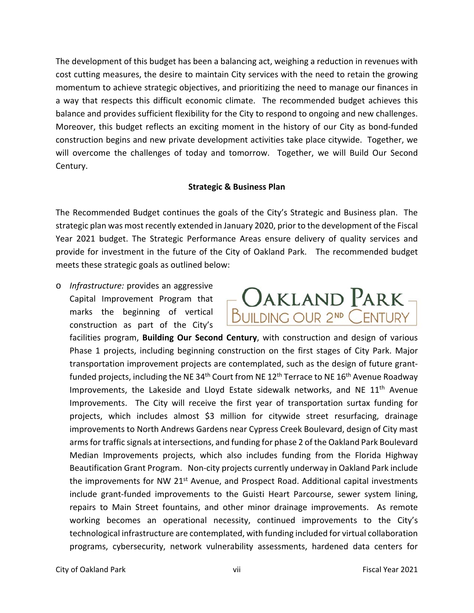The development of this budget has been a balancing act, weighing a reduction in revenues with cost cutting measures, the desire to maintain City services with the need to retain the growing momentum to achieve strategic objectives, and prioritizing the need to manage our finances in a way that respects this difficult economic climate. The recommended budget achieves this balance and provides sufficient flexibility for the City to respond to ongoing and new challenges. Moreover, this budget reflects an exciting moment in the history of our City as bond‐funded construction begins and new private development activities take place citywide. Together, we will overcome the challenges of today and tomorrow. Together, we will Build Our Second Century.

### **Strategic & Business Plan**

The Recommended Budget continues the goals of the City's Strategic and Business plan. The strategic plan was most recently extended in January 2020, prior to the development of the Fiscal Year 2021 budget. The Strategic Performance Areas ensure delivery of quality services and provide for investment in the future of the City of Oakland Park. The recommended budget meets these strategic goals as outlined below:

o *Infrastructure:* provides an aggressive Capital Improvement Program that marks the beginning of vertical construction as part of the City's



facilities program, **Building Our Second Century**, with construction and design of various Phase 1 projects, including beginning construction on the first stages of City Park. Major transportation improvement projects are contemplated, such as the design of future grant‐ funded projects, including the NE 34<sup>th</sup> Court from NE 12<sup>th</sup> Terrace to NE 16<sup>th</sup> Avenue Roadway Improvements, the Lakeside and Lloyd Estate sidewalk networks, and NE 11<sup>th</sup> Avenue Improvements. The City will receive the first year of transportation surtax funding for projects, which includes almost \$3 million for citywide street resurfacing, drainage improvements to North Andrews Gardens near Cypress Creek Boulevard, design of City mast arms for traffic signals at intersections, and funding for phase 2 of the Oakland Park Boulevard Median Improvements projects, which also includes funding from the Florida Highway Beautification Grant Program. Non‐city projects currently underway in Oakland Park include the improvements for NW 21<sup>st</sup> Avenue, and Prospect Road. Additional capital investments include grant-funded improvements to the Guisti Heart Parcourse, sewer system lining, repairs to Main Street fountains, and other minor drainage improvements. As remote working becomes an operational necessity, continued improvements to the City's technological infrastructure are contemplated, with funding included for virtual collaboration programs, cybersecurity, network vulnerability assessments, hardened data centers for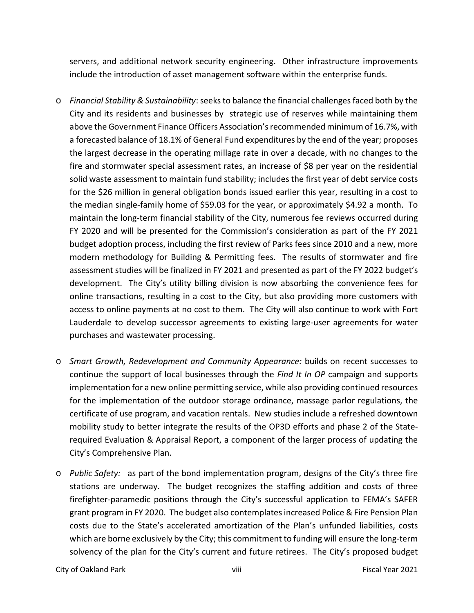servers, and additional network security engineering. Other infrastructure improvements include the introduction of asset management software within the enterprise funds.

- o *Financial Stability & Sustainability*:seeksto balance the financial challengesfaced both by the City and its residents and businesses by strategic use of reserves while maintaining them above the Government Finance Officers Association's recommended minimum of 16.7%, with a forecasted balance of 18.1% of General Fund expenditures by the end of the year; proposes the largest decrease in the operating millage rate in over a decade, with no changes to the fire and stormwater special assessment rates, an increase of \$8 per year on the residential solid waste assessment to maintain fund stability; includes the first year of debt service costs for the \$26 million in general obligation bonds issued earlier this year, resulting in a cost to the median single‐family home of \$59.03 for the year, or approximately \$4.92 a month. To maintain the long‐term financial stability of the City, numerous fee reviews occurred during FY 2020 and will be presented for the Commission's consideration as part of the FY 2021 budget adoption process, including the first review of Parks fees since 2010 and a new, more modern methodology for Building & Permitting fees. The results of stormwater and fire assessment studies will be finalized in FY 2021 and presented as part of the FY 2022 budget's development. The City's utility billing division is now absorbing the convenience fees for online transactions, resulting in a cost to the City, but also providing more customers with access to online payments at no cost to them. The City will also continue to work with Fort Lauderdale to develop successor agreements to existing large-user agreements for water purchases and wastewater processing.
- o *Smart Growth, Redevelopment and Community Appearance:* builds on recent successes to continue the support of local businesses through the *Find It In OP* campaign and supports implementation for a new online permitting service, while also providing continued resources for the implementation of the outdoor storage ordinance, massage parlor regulations, the certificate of use program, and vacation rentals. New studies include a refreshed downtown mobility study to better integrate the results of the OP3D efforts and phase 2 of the State‐ required Evaluation & Appraisal Report, a component of the larger process of updating the City's Comprehensive Plan.
- o *Public Safety:*  as part of the bond implementation program, designs of the City's three fire stations are underway. The budget recognizes the staffing addition and costs of three firefighter‐paramedic positions through the City's successful application to FEMA's SAFER grant program in FY 2020. The budget also contemplates increased Police & Fire Pension Plan costs due to the State's accelerated amortization of the Plan's unfunded liabilities, costs which are borne exclusively by the City; this commitment to funding will ensure the long-term solvency of the plan for the City's current and future retirees. The City's proposed budget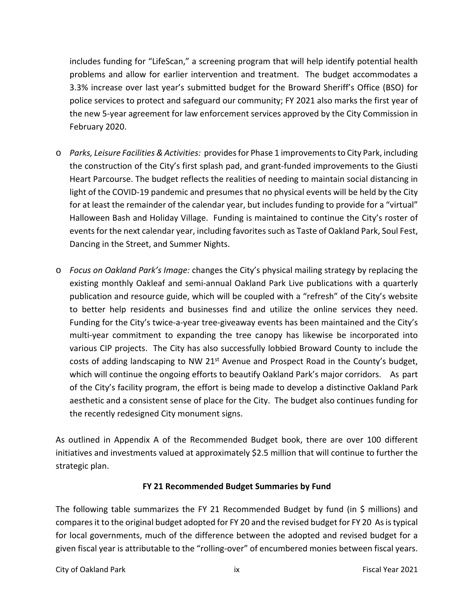includes funding for "LifeScan," a screening program that will help identify potential health problems and allow for earlier intervention and treatment. The budget accommodates a 3.3% increase over last year's submitted budget for the Broward Sheriff's Office (BSO) for police services to protect and safeguard our community; FY 2021 also marks the first year of the new 5‐year agreement for law enforcement services approved by the City Commission in February 2020.

- o *Parks, Leisure Facilities &Activities:* providesfor Phase 1 improvements to City Park, including the construction of the City's first splash pad, and grant‐funded improvements to the Giusti Heart Parcourse. The budget reflects the realities of needing to maintain social distancing in light of the COVID‐19 pandemic and presumes that no physical events will be held by the City for at least the remainder of the calendar year, but includes funding to provide for a "virtual" Halloween Bash and Holiday Village. Funding is maintained to continue the City's roster of events for the next calendar year, including favorites such as Taste of Oakland Park, Soul Fest, Dancing in the Street, and Summer Nights.
- o *Focus on Oakland Park's Image:* changes the City's physical mailing strategy by replacing the existing monthly Oakleaf and semi‐annual Oakland Park Live publications with a quarterly publication and resource guide, which will be coupled with a "refresh" of the City's website to better help residents and businesses find and utilize the online services they need. Funding for the City's twice-a-year tree-giveaway events has been maintained and the City's multi-year commitment to expanding the tree canopy has likewise be incorporated into various CIP projects. The City has also successfully lobbied Broward County to include the costs of adding landscaping to NW 21<sup>st</sup> Avenue and Prospect Road in the County's budget, which will continue the ongoing efforts to beautify Oakland Park's major corridors. As part of the City's facility program, the effort is being made to develop a distinctive Oakland Park aesthetic and a consistent sense of place for the City. The budget also continues funding for the recently redesigned City monument signs.

As outlined in Appendix A of the Recommended Budget book, there are over 100 different initiatives and investments valued at approximately \$2.5 million that will continue to further the strategic plan.

# **FY 21 Recommended Budget Summaries by Fund**

The following table summarizes the FY 21 Recommended Budget by fund (in \$ millions) and compares it to the original budget adopted for FY 20 and the revised budget for FY 20 As is typical for local governments, much of the difference between the adopted and revised budget for a given fiscal year is attributable to the "rolling‐over" of encumbered monies between fiscal years.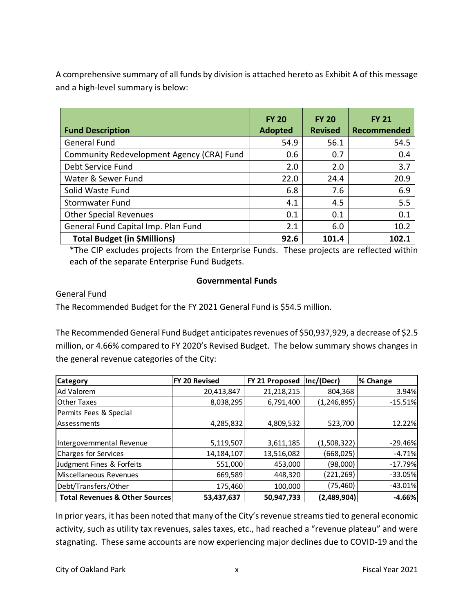A comprehensive summary of all funds by division is attached hereto as Exhibit A of this message and a high‐level summary is below:

| <b>Fund Description</b>                   | <b>FY 20</b><br><b>Adopted</b> | <b>FY 20</b><br><b>Revised</b> | <b>FY 21</b><br>Recommended |
|-------------------------------------------|--------------------------------|--------------------------------|-----------------------------|
| <b>General Fund</b>                       | 54.9                           | 56.1                           | 54.5                        |
| Community Redevelopment Agency (CRA) Fund | 0.6                            | 0.7                            | 0.4                         |
| Debt Service Fund                         | 2.0                            | 2.0                            | 3.7                         |
| Water & Sewer Fund                        | 22.0                           | 24.4                           | 20.9                        |
| Solid Waste Fund                          | 6.8                            | 7.6                            | 6.9                         |
| <b>Stormwater Fund</b>                    | 4.1                            | 4.5                            | 5.5                         |
| <b>Other Special Revenues</b>             | 0.1                            | 0.1                            | 0.1                         |
| General Fund Capital Imp. Plan Fund       | 2.1                            | 6.0                            | 10.2                        |
| <b>Total Budget (in \$Millions)</b>       | 92.6                           | 101.4                          | 102.1                       |

\*The CIP excludes projects from the Enterprise Funds. These projects are reflected within each of the separate Enterprise Fund Budgets.

# **Governmental Funds**

# General Fund

The Recommended Budget for the FY 2021 General Fund is \$54.5 million.

The Recommended General Fund Budget anticipates revenues of \$50,937,929, a decrease of \$2.5 million, or 4.66% compared to FY 2020's Revised Budget. The below summary shows changes in the general revenue categories of the City:

| <b>Category</b>                | <b>FY 20 Revised</b> | FY 21 Proposed | Inc/(Decr)    | % Change  |
|--------------------------------|----------------------|----------------|---------------|-----------|
| Ad Valorem                     | 20,413,847           | 21,218,215     | 804,368       | 3.94%     |
| <b>Other Taxes</b>             | 8,038,295            | 6,791,400      | (1, 246, 895) | $-15.51%$ |
| Permits Fees & Special         |                      |                |               |           |
| l Assessments                  | 4,285,832            | 4,809,532      | 523,700       | 12.22%    |
|                                |                      |                |               |           |
| Intergovernmental Revenue      | 5,119,507            | 3,611,185      | (1,508,322)   | $-29.46%$ |
| Charges for Services           | 14,184,107           | 13,516,082     | (668, 025)    | $-4.71%$  |
| Judgment Fines & Forfeits      | 551,000              | 453,000        | (98,000)      | $-17.79%$ |
| Miscellaneous Revenues         | 669,589              | 448,320        | (221, 269)    | $-33.05%$ |
| Debt/Transfers/Other           | 175,460              | 100,000        | (75, 460)     | $-43.01%$ |
| Total Revenues & Other Sources | 53,437,637           | 50,947,733     | (2,489,904)   | $-4.66%$  |

In prior years, it has been noted that many of the City's revenue streams tied to general economic activity, such as utility tax revenues, sales taxes, etc., had reached a "revenue plateau" and were stagnating. These same accounts are now experiencing major declines due to COVID‐19 and the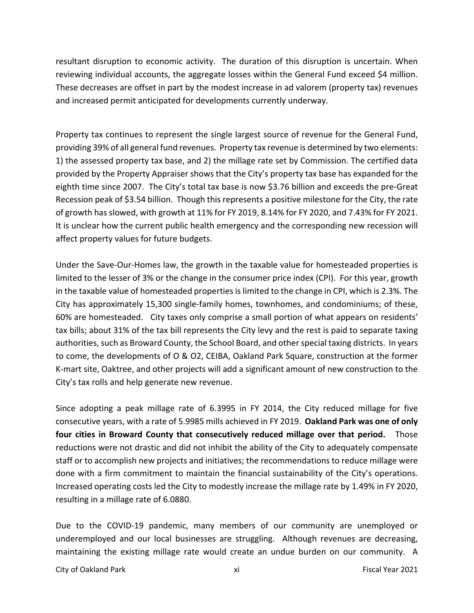resultant disruption to economic activity. The duration of this disruption is uncertain. When reviewing individual accounts, the aggregate losses within the General Fund exceed \$4 million. These decreases are offset in part by the modest increase in ad valorem (property tax) revenues and increased permit anticipated for developments currently underway.

Property tax continues to represent the single largest source of revenue for the General Fund, providing 39% of all general fund revenues. Property tax revenue is determined by two elements: 1) the assessed property tax base, and 2) the millage rate set by Commission. The certified data provided by the Property Appraiser shows that the City's property tax base has expanded for the eighth time since 2007. The City's total tax base is now \$3.76 billion and exceeds the pre‐Great Recession peak of \$3.54 billion. Though this represents a positive milestone for the City, the rate of growth has slowed, with growth at 11% for FY 2019, 8.14% for FY 2020, and 7.43% for FY 2021. It is unclear how the current public health emergency and the corresponding new recession will affect property values for future budgets.

Under the Save‐Our‐Homes law, the growth in the taxable value for homesteaded properties is limited to the lesser of 3% or the change in the consumer price index (CPI). For this year, growth in the taxable value of homesteaded properties is limited to the change in CPI, which is 2.3%. The City has approximately 15,300 single‐family homes, townhomes, and condominiums; of these, 60% are homesteaded. City taxes only comprise a small portion of what appears on residents' tax bills; about 31% of the tax bill represents the City levy and the rest is paid to separate taxing authorities, such as Broward County, the School Board, and other special taxing districts. In years to come, the developments of O & O2, CEIBA, Oakland Park Square, construction at the former K‐mart site, Oaktree, and other projects will add a significant amount of new construction to the City's tax rolls and help generate new revenue.

Since adopting a peak millage rate of 6.3995 in FY 2014, the City reduced millage for five consecutive years, with a rate of 5.9985 mills achieved in FY 2019. **Oakland Park was one of only four cities in Broward County that consecutively reduced millage over that period.** Those reductions were not drastic and did not inhibit the ability of the City to adequately compensate staff or to accomplish new projects and initiatives; the recommendations to reduce millage were done with a firm commitment to maintain the financial sustainability of the City's operations. Increased operating costs led the City to modestly increase the millage rate by 1.49% in FY 2020, resulting in a millage rate of 6.0880.

Due to the COVID-19 pandemic, many members of our community are unemployed or underemployed and our local businesses are struggling. Although revenues are decreasing, maintaining the existing millage rate would create an undue burden on our community. A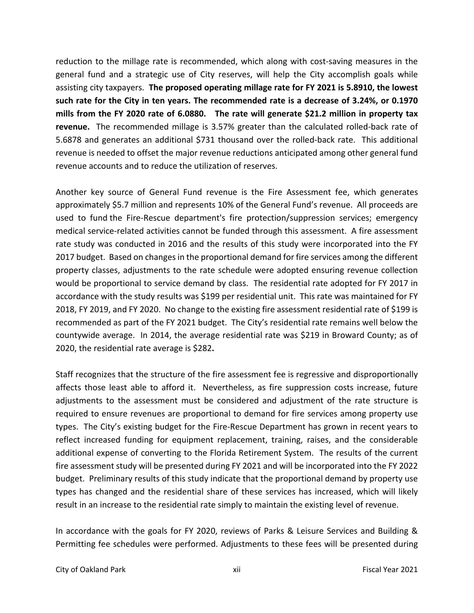reduction to the millage rate is recommended, which along with cost‐saving measures in the general fund and a strategic use of City reserves, will help the City accomplish goals while assisting city taxpayers. **The proposed operating millage rate for FY 2021 is 5.8910, the lowest such rate for the City in ten years. The recommended rate is a decrease of 3.24%, or 0.1970 mills from the FY 2020 rate of 6.0880. The rate will generate \$21.2 million in property tax revenue.**  The recommended millage is 3.57% greater than the calculated rolled‐back rate of 5.6878 and generates an additional \$731 thousand over the rolled‐back rate. This additional revenue is needed to offset the major revenue reductions anticipated among other general fund revenue accounts and to reduce the utilization of reserves.

Another key source of General Fund revenue is the Fire Assessment fee, which generates approximately \$5.7 million and represents 10% of the General Fund's revenue. All proceeds are used to fund the Fire‐Rescue department's fire protection/suppression services; emergency medical service‐related activities cannot be funded through this assessment. A fire assessment rate study was conducted in 2016 and the results of this study were incorporated into the FY 2017 budget. Based on changes in the proportional demand for fire services among the different property classes, adjustments to the rate schedule were adopted ensuring revenue collection would be proportional to service demand by class. The residential rate adopted for FY 2017 in accordance with the study results was \$199 per residential unit. This rate was maintained for FY 2018, FY 2019, and FY 2020. No change to the existing fire assessment residential rate of \$199 is recommended as part of the FY 2021 budget. The City's residential rate remains well below the countywide average. In 2014, the average residential rate was \$219 in Broward County; as of 2020, the residential rate average is \$282**.**

Staff recognizes that the structure of the fire assessment fee is regressive and disproportionally affects those least able to afford it. Nevertheless, as fire suppression costs increase, future adjustments to the assessment must be considered and adjustment of the rate structure is required to ensure revenues are proportional to demand for fire services among property use types. The City's existing budget for the Fire‐Rescue Department has grown in recent years to reflect increased funding for equipment replacement, training, raises, and the considerable additional expense of converting to the Florida Retirement System. The results of the current fire assessment study will be presented during FY 2021 and will be incorporated into the FY 2022 budget. Preliminary results of this study indicate that the proportional demand by property use types has changed and the residential share of these services has increased, which will likely result in an increase to the residential rate simply to maintain the existing level of revenue.

In accordance with the goals for FY 2020, reviews of Parks & Leisure Services and Building & Permitting fee schedules were performed. Adjustments to these fees will be presented during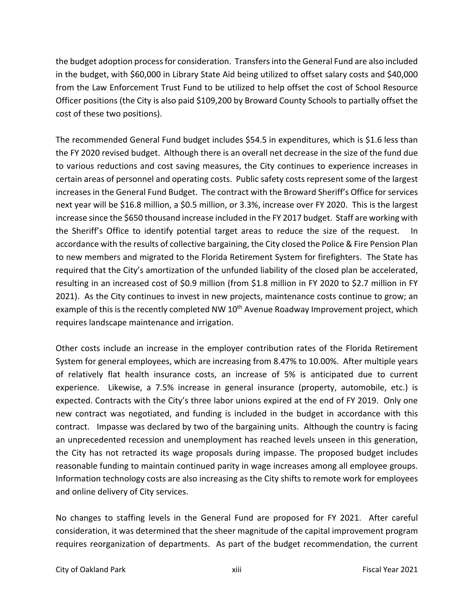the budget adoption process for consideration. Transfers into the General Fund are also included in the budget, with \$60,000 in Library State Aid being utilized to offset salary costs and \$40,000 from the Law Enforcement Trust Fund to be utilized to help offset the cost of School Resource Officer positions (the City is also paid \$109,200 by Broward County Schools to partially offset the cost of these two positions).

The recommended General Fund budget includes \$54.5 in expenditures, which is \$1.6 less than the FY 2020 revised budget. Although there is an overall net decrease in the size of the fund due to various reductions and cost saving measures, the City continues to experience increases in certain areas of personnel and operating costs. Public safety costs represent some of the largest increases in the General Fund Budget. The contract with the Broward Sheriff's Office for services next year will be \$16.8 million, a \$0.5 million, or 3.3%, increase over FY 2020. This is the largest increase since the \$650 thousand increase included in the FY 2017 budget. Staff are working with the Sheriff's Office to identify potential target areas to reduce the size of the request. In accordance with the results of collective bargaining, the City closed the Police & Fire Pension Plan to new members and migrated to the Florida Retirement System for firefighters. The State has required that the City's amortization of the unfunded liability of the closed plan be accelerated, resulting in an increased cost of \$0.9 million (from \$1.8 million in FY 2020 to \$2.7 million in FY 2021). As the City continues to invest in new projects, maintenance costs continue to grow; an example of this is the recently completed NW 10<sup>th</sup> Avenue Roadway Improvement project, which requires landscape maintenance and irrigation.

Other costs include an increase in the employer contribution rates of the Florida Retirement System for general employees, which are increasing from 8.47% to 10.00%. After multiple years of relatively flat health insurance costs, an increase of 5% is anticipated due to current experience. Likewise, a 7.5% increase in general insurance (property, automobile, etc.) is expected. Contracts with the City's three labor unions expired at the end of FY 2019. Only one new contract was negotiated, and funding is included in the budget in accordance with this contract. Impasse was declared by two of the bargaining units. Although the country is facing an unprecedented recession and unemployment has reached levels unseen in this generation, the City has not retracted its wage proposals during impasse. The proposed budget includes reasonable funding to maintain continued parity in wage increases among all employee groups. Information technology costs are also increasing as the City shifts to remote work for employees and online delivery of City services.

No changes to staffing levels in the General Fund are proposed for FY 2021. After careful consideration, it was determined that the sheer magnitude of the capital improvement program requires reorganization of departments. As part of the budget recommendation, the current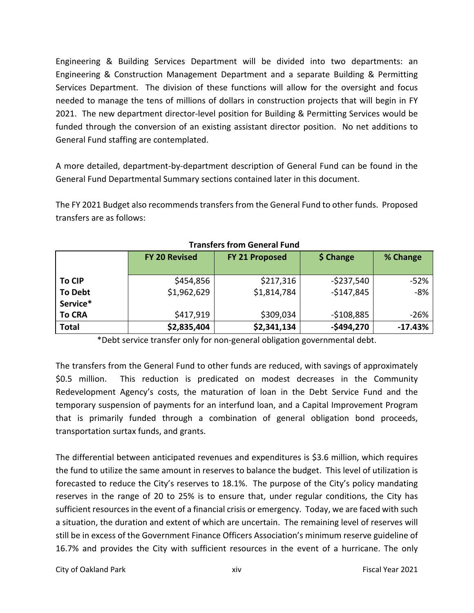Engineering & Building Services Department will be divided into two departments: an Engineering & Construction Management Department and a separate Building & Permitting Services Department. The division of these functions will allow for the oversight and focus needed to manage the tens of millions of dollars in construction projects that will begin in FY 2021. The new department director‐level position for Building & Permitting Services would be funded through the conversion of an existing assistant director position. No net additions to General Fund staffing are contemplated.

A more detailed, department‐by‐department description of General Fund can be found in the General Fund Departmental Summary sections contained later in this document.

The FY 2021 Budget also recommends transfers from the General Fund to other funds. Proposed transfers are as follows:

|                | <b>FY 20 Revised</b> | FY 21 Proposed | \$ Change     | % Change  |
|----------------|----------------------|----------------|---------------|-----------|
| <b>To CIP</b>  | \$454,856            | \$217,316      | $-$ \$237,540 | $-52%$    |
| <b>To Debt</b> | \$1,962,629          | \$1,814,784    | $-$147,845$   | -8%       |
| Service*       |                      |                |               |           |
| <b>To CRA</b>  | \$417,919            | \$309,034      | $-$108,885$   | -26%      |
| <b>Total</b>   | \$2,835,404          | \$2,341,134    | $-$494,270$   | $-17.43%$ |

#### **Transfers from General Fund**

\*Debt service transfer only for non‐general obligation governmental debt.

The transfers from the General Fund to other funds are reduced, with savings of approximately \$0.5 million. This reduction is predicated on modest decreases in the Community Redevelopment Agency's costs, the maturation of loan in the Debt Service Fund and the temporary suspension of payments for an interfund loan, and a Capital Improvement Program that is primarily funded through a combination of general obligation bond proceeds, transportation surtax funds, and grants.

The differential between anticipated revenues and expenditures is \$3.6 million, which requires the fund to utilize the same amount in reserves to balance the budget. This level of utilization is forecasted to reduce the City's reserves to 18.1%. The purpose of the City's policy mandating reserves in the range of 20 to 25% is to ensure that, under regular conditions, the City has sufficient resources in the event of a financial crisis or emergency. Today, we are faced with such a situation, the duration and extent of which are uncertain. The remaining level of reserves will still be in excess of the Government Finance Officers Association's minimum reserve guideline of 16.7% and provides the City with sufficient resources in the event of a hurricane. The only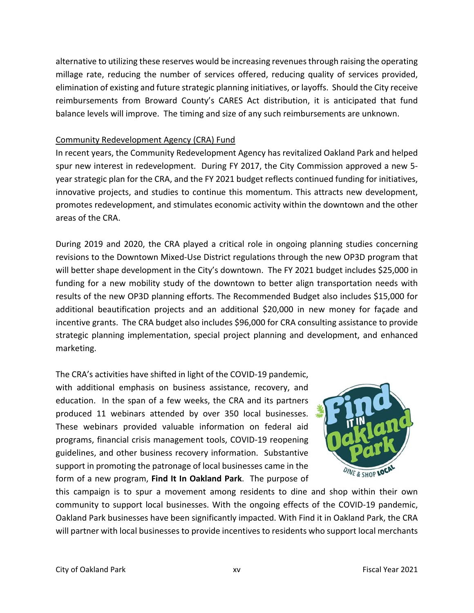alternative to utilizing these reserves would be increasing revenues through raising the operating millage rate, reducing the number of services offered, reducing quality of services provided, elimination of existing and future strategic planning initiatives, or layoffs. Should the City receive reimbursements from Broward County's CARES Act distribution, it is anticipated that fund balance levels will improve. The timing and size of any such reimbursements are unknown.

### Community Redevelopment Agency (CRA) Fund

In recent years, the Community Redevelopment Agency has revitalized Oakland Park and helped spur new interest in redevelopment. During FY 2017, the City Commission approved a new 5year strategic plan for the CRA, and the FY 2021 budget reflects continued funding for initiatives, innovative projects, and studies to continue this momentum. This attracts new development, promotes redevelopment, and stimulates economic activity within the downtown and the other areas of the CRA.

During 2019 and 2020, the CRA played a critical role in ongoing planning studies concerning revisions to the Downtown Mixed‐Use District regulations through the new OP3D program that will better shape development in the City's downtown. The FY 2021 budget includes \$25,000 in funding for a new mobility study of the downtown to better align transportation needs with results of the new OP3D planning efforts. The Recommended Budget also includes \$15,000 for additional beautification projects and an additional \$20,000 in new money for façade and incentive grants. The CRA budget also includes \$96,000 for CRA consulting assistance to provide strategic planning implementation, special project planning and development, and enhanced marketing.

The CRA's activities have shifted in light of the COVID‐19 pandemic, with additional emphasis on business assistance, recovery, and education. In the span of a few weeks, the CRA and its partners produced 11 webinars attended by over 350 local businesses. These webinars provided valuable information on federal aid programs, financial crisis management tools, COVID‐19 reopening guidelines, and other business recovery information. Substantive support in promoting the patronage of local businesses came in the form of a new program, **Find It In Oakland Park**. The purpose of



this campaign is to spur a movement among residents to dine and shop within their own community to support local businesses. With the ongoing effects of the COVID‐19 pandemic, Oakland Park businesses have been significantly impacted. With Find it in Oakland Park, the CRA will partner with local businesses to provide incentives to residents who support local merchants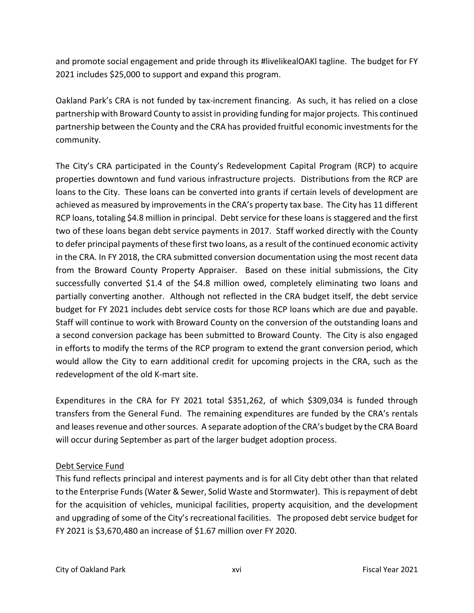and promote social engagement and pride through its #livelikealOAKl tagline. The budget for FY 2021 includes \$25,000 to support and expand this program.

Oakland Park's CRA is not funded by tax‐increment financing. As such, it has relied on a close partnership with Broward County to assist in providing funding for major projects. This continued partnership between the County and the CRA has provided fruitful economic investments for the community.

The City's CRA participated in the County's Redevelopment Capital Program (RCP) to acquire properties downtown and fund various infrastructure projects. Distributions from the RCP are loans to the City. These loans can be converted into grants if certain levels of development are achieved as measured by improvements in the CRA's property tax base. The City has 11 different RCP loans, totaling \$4.8 million in principal. Debt service for these loans is staggered and the first two of these loans began debt service payments in 2017. Staff worked directly with the County to defer principal payments of these first two loans, as a result of the continued economic activity in the CRA. In FY 2018, the CRA submitted conversion documentation using the most recent data from the Broward County Property Appraiser. Based on these initial submissions, the City successfully converted \$1.4 of the \$4.8 million owed, completely eliminating two loans and partially converting another. Although not reflected in the CRA budget itself, the debt service budget for FY 2021 includes debt service costs for those RCP loans which are due and payable. Staff will continue to work with Broward County on the conversion of the outstanding loans and a second conversion package has been submitted to Broward County. The City is also engaged in efforts to modify the terms of the RCP program to extend the grant conversion period, which would allow the City to earn additional credit for upcoming projects in the CRA, such as the redevelopment of the old K‐mart site.

Expenditures in the CRA for FY 2021 total \$351,262, of which \$309,034 is funded through transfers from the General Fund. The remaining expenditures are funded by the CRA's rentals and leases revenue and other sources. A separate adoption of the CRA's budget by the CRA Board will occur during September as part of the larger budget adoption process.

# Debt Service Fund

This fund reflects principal and interest payments and is for all City debt other than that related to the Enterprise Funds (Water & Sewer, Solid Waste and Stormwater). Thisis repayment of debt for the acquisition of vehicles, municipal facilities, property acquisition, and the development and upgrading of some of the City's recreational facilities. The proposed debt service budget for FY 2021 is \$3,670,480 an increase of \$1.67 million over FY 2020.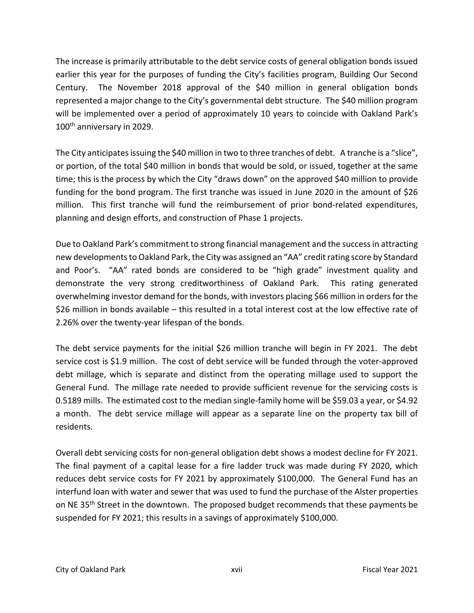The increase is primarily attributable to the debt service costs of general obligation bonds issued earlier this year for the purposes of funding the City's facilities program, Building Our Second Century. The November 2018 approval of the \$40 million in general obligation bonds represented a major change to the City's governmental debt structure. The \$40 million program will be implemented over a period of approximately 10 years to coincide with Oakland Park's 100<sup>th</sup> anniversary in 2029.

The City anticipates issuing the \$40 million in two to three tranches of debt. A tranche is a "slice", or portion, of the total \$40 million in bonds that would be sold, or issued, together at the same time; this is the process by which the City "draws down" on the approved \$40 million to provide funding for the bond program. The first tranche was issued in June 2020 in the amount of \$26 million. This first tranche will fund the reimbursement of prior bond-related expenditures, planning and design efforts, and construction of Phase 1 projects.

Due to Oakland Park's commitment to strong financial management and the success in attracting new developments to Oakland Park, the City was assigned an "AA" credit rating score by Standard and Poor's. "AA" rated bonds are considered to be "high grade" investment quality and demonstrate the very strong creditworthiness of Oakland Park. This rating generated overwhelming investor demand for the bonds, with investors placing \$66 million in orders for the \$26 million in bonds available – this resulted in a total interest cost at the low effective rate of 2.26% over the twenty‐year lifespan of the bonds.

The debt service payments for the initial \$26 million tranche will begin in FY 2021. The debt service cost is \$1.9 million. The cost of debt service will be funded through the voter-approved debt millage, which is separate and distinct from the operating millage used to support the General Fund. The millage rate needed to provide sufficient revenue for the servicing costs is 0.5189 mills. The estimated cost to the median single‐family home will be \$59.03 a year, or \$4.92 a month. The debt service millage will appear as a separate line on the property tax bill of residents.

Overall debt servicing costs for non‐general obligation debt shows a modest decline for FY 2021. The final payment of a capital lease for a fire ladder truck was made during FY 2020, which reduces debt service costs for FY 2021 by approximately \$100,000. The General Fund has an interfund loan with water and sewer that was used to fund the purchase of the Alster properties on NE 35<sup>th</sup> Street in the downtown. The proposed budget recommends that these payments be suspended for FY 2021; this results in a savings of approximately \$100,000.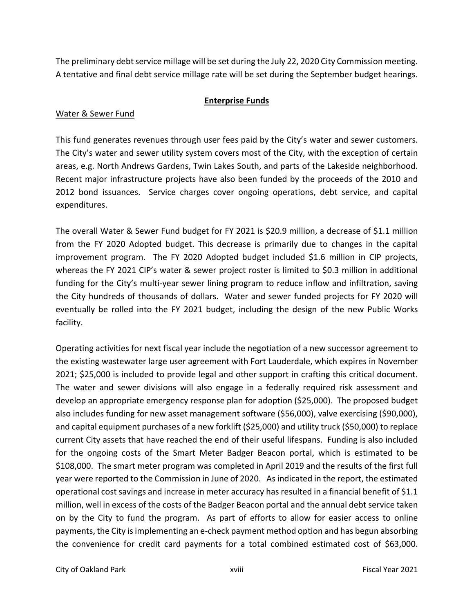The preliminary debt service millage will be set during the July 22, 2020 City Commission meeting. A tentative and final debt service millage rate will be set during the September budget hearings.

### **Enterprise Funds**

# Water & Sewer Fund

This fund generates revenues through user fees paid by the City's water and sewer customers. The City's water and sewer utility system covers most of the City, with the exception of certain areas, e.g. North Andrews Gardens, Twin Lakes South, and parts of the Lakeside neighborhood. Recent major infrastructure projects have also been funded by the proceeds of the 2010 and 2012 bond issuances. Service charges cover ongoing operations, debt service, and capital expenditures.

The overall Water & Sewer Fund budget for FY 2021 is \$20.9 million, a decrease of \$1.1 million from the FY 2020 Adopted budget. This decrease is primarily due to changes in the capital improvement program. The FY 2020 Adopted budget included \$1.6 million in CIP projects, whereas the FY 2021 CIP's water & sewer project roster is limited to \$0.3 million in additional funding for the City's multi-year sewer lining program to reduce inflow and infiltration, saving the City hundreds of thousands of dollars. Water and sewer funded projects for FY 2020 will eventually be rolled into the FY 2021 budget, including the design of the new Public Works facility.

Operating activities for next fiscal year include the negotiation of a new successor agreement to the existing wastewater large user agreement with Fort Lauderdale, which expires in November 2021; \$25,000 is included to provide legal and other support in crafting this critical document. The water and sewer divisions will also engage in a federally required risk assessment and develop an appropriate emergency response plan for adoption (\$25,000). The proposed budget also includes funding for new asset management software (\$56,000), valve exercising (\$90,000), and capital equipment purchases of a new forklift (\$25,000) and utility truck (\$50,000) to replace current City assets that have reached the end of their useful lifespans. Funding is also included for the ongoing costs of the Smart Meter Badger Beacon portal, which is estimated to be \$108,000. The smart meter program was completed in April 2019 and the results of the first full year were reported to the Commission in June of 2020. As indicated in the report, the estimated operational cost savings and increase in meter accuracy has resulted in a financial benefit of \$1.1 million, well in excess of the costs of the Badger Beacon portal and the annual debt service taken on by the City to fund the program. As part of efforts to allow for easier access to online payments, the City is implementing an e‐check payment method option and has begun absorbing the convenience for credit card payments for a total combined estimated cost of \$63,000.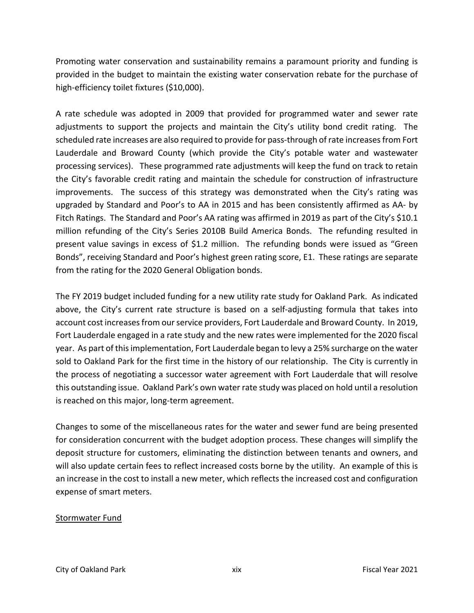Promoting water conservation and sustainability remains a paramount priority and funding is provided in the budget to maintain the existing water conservation rebate for the purchase of high-efficiency toilet fixtures (\$10,000).

A rate schedule was adopted in 2009 that provided for programmed water and sewer rate adjustments to support the projects and maintain the City's utility bond credit rating. The scheduled rate increases are also required to provide for pass-through of rate increases from Fort Lauderdale and Broward County (which provide the City's potable water and wastewater processing services). These programmed rate adjustments will keep the fund on track to retain the City's favorable credit rating and maintain the schedule for construction of infrastructure improvements. The success of this strategy was demonstrated when the City's rating was upgraded by Standard and Poor's to AA in 2015 and has been consistently affirmed as AA‐ by Fitch Ratings. The Standard and Poor's AA rating was affirmed in 2019 as part of the City's \$10.1 million refunding of the City's Series 2010B Build America Bonds. The refunding resulted in present value savings in excess of \$1.2 million. The refunding bonds were issued as "Green Bonds", receiving Standard and Poor's highest green rating score, E1. These ratings are separate from the rating for the 2020 General Obligation bonds.

The FY 2019 budget included funding for a new utility rate study for Oakland Park. As indicated above, the City's current rate structure is based on a self-adjusting formula that takes into account cost increasesfrom our service providers, Fort Lauderdale and Broward County. In 2019, Fort Lauderdale engaged in a rate study and the new rates were implemented for the 2020 fiscal year. As part of this implementation, Fort Lauderdale began to levy a 25% surcharge on the water sold to Oakland Park for the first time in the history of our relationship. The City is currently in the process of negotiating a successor water agreement with Fort Lauderdale that will resolve this outstanding issue. Oakland Park's own water rate study was placed on hold until a resolution is reached on this major, long‐term agreement.

Changes to some of the miscellaneous rates for the water and sewer fund are being presented for consideration concurrent with the budget adoption process. These changes will simplify the deposit structure for customers, eliminating the distinction between tenants and owners, and will also update certain fees to reflect increased costs borne by the utility. An example of this is an increase in the cost to install a new meter, which reflects the increased cost and configuration expense of smart meters.

### Stormwater Fund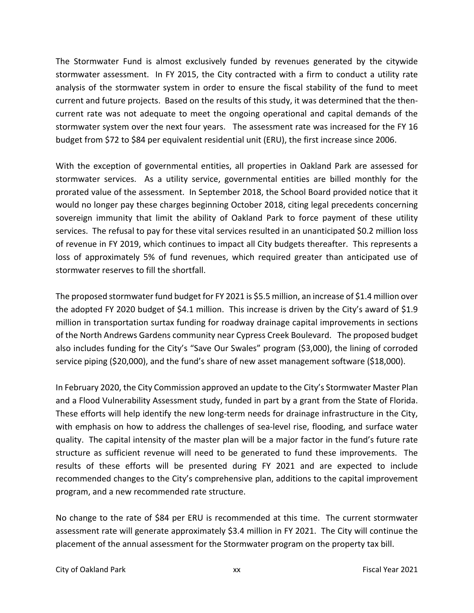The Stormwater Fund is almost exclusively funded by revenues generated by the citywide stormwater assessment. In FY 2015, the City contracted with a firm to conduct a utility rate analysis of the stormwater system in order to ensure the fiscal stability of the fund to meet current and future projects. Based on the results of this study, it was determined that the then‐ current rate was not adequate to meet the ongoing operational and capital demands of the stormwater system over the next four years. The assessment rate was increased for the FY 16 budget from \$72 to \$84 per equivalent residential unit (ERU), the first increase since 2006.

With the exception of governmental entities, all properties in Oakland Park are assessed for stormwater services. As a utility service, governmental entities are billed monthly for the prorated value of the assessment. In September 2018, the School Board provided notice that it would no longer pay these charges beginning October 2018, citing legal precedents concerning sovereign immunity that limit the ability of Oakland Park to force payment of these utility services. The refusal to pay for these vital services resulted in an unanticipated \$0.2 million loss of revenue in FY 2019, which continues to impact all City budgets thereafter. This represents a loss of approximately 5% of fund revenues, which required greater than anticipated use of stormwater reserves to fill the shortfall.

The proposed stormwater fund budget for FY 2021 is \$5.5 million, an increase of \$1.4 million over the adopted FY 2020 budget of \$4.1 million. This increase is driven by the City's award of \$1.9 million in transportation surtax funding for roadway drainage capital improvements in sections of the North Andrews Gardens community near Cypress Creek Boulevard. The proposed budget also includes funding for the City's "Save Our Swales" program (\$3,000), the lining of corroded service piping (\$20,000), and the fund's share of new asset management software (\$18,000).

In February 2020, the City Commission approved an update to the City's Stormwater Master Plan and a Flood Vulnerability Assessment study, funded in part by a grant from the State of Florida. These efforts will help identify the new long-term needs for drainage infrastructure in the City, with emphasis on how to address the challenges of sea-level rise, flooding, and surface water quality. The capital intensity of the master plan will be a major factor in the fund's future rate structure as sufficient revenue will need to be generated to fund these improvements. The results of these efforts will be presented during FY 2021 and are expected to include recommended changes to the City's comprehensive plan, additions to the capital improvement program, and a new recommended rate structure.

No change to the rate of \$84 per ERU is recommended at this time. The current stormwater assessment rate will generate approximately \$3.4 million in FY 2021. The City will continue the placement of the annual assessment for the Stormwater program on the property tax bill.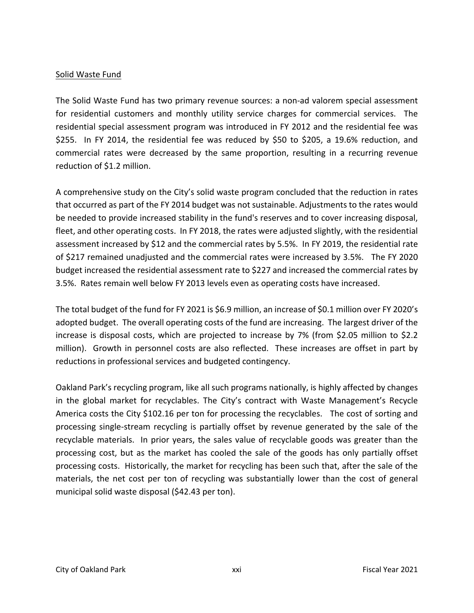### Solid Waste Fund

The Solid Waste Fund has two primary revenue sources: a non‐ad valorem special assessment for residential customers and monthly utility service charges for commercial services. The residential special assessment program was introduced in FY 2012 and the residential fee was \$255. In FY 2014, the residential fee was reduced by \$50 to \$205, a 19.6% reduction, and commercial rates were decreased by the same proportion, resulting in a recurring revenue reduction of \$1.2 million.

A comprehensive study on the City's solid waste program concluded that the reduction in rates that occurred as part of the FY 2014 budget was not sustainable. Adjustments to the rates would be needed to provide increased stability in the fund's reserves and to cover increasing disposal, fleet, and other operating costs. In FY 2018, the rates were adjusted slightly, with the residential assessment increased by \$12 and the commercial rates by 5.5%. In FY 2019, the residential rate of \$217 remained unadjusted and the commercial rates were increased by 3.5%. The FY 2020 budget increased the residential assessment rate to \$227 and increased the commercial rates by 3.5%. Rates remain well below FY 2013 levels even as operating costs have increased.

The total budget of the fund for FY 2021 is \$6.9 million, an increase of \$0.1 million over FY 2020's adopted budget. The overall operating costs of the fund are increasing. The largest driver of the increase is disposal costs, which are projected to increase by 7% (from \$2.05 million to \$2.2 million). Growth in personnel costs are also reflected. These increases are offset in part by reductions in professional services and budgeted contingency.

Oakland Park's recycling program, like all such programs nationally, is highly affected by changes in the global market for recyclables. The City's contract with Waste Management's Recycle America costs the City \$102.16 per ton for processing the recyclables. The cost of sorting and processing single‐stream recycling is partially offset by revenue generated by the sale of the recyclable materials. In prior years, the sales value of recyclable goods was greater than the processing cost, but as the market has cooled the sale of the goods has only partially offset processing costs. Historically, the market for recycling has been such that, after the sale of the materials, the net cost per ton of recycling was substantially lower than the cost of general municipal solid waste disposal (\$42.43 per ton).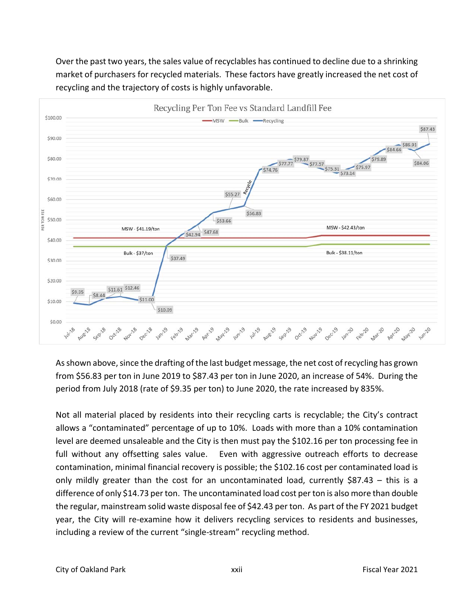

Over the past two years, the sales value of recyclables has continued to decline due to a shrinking market of purchasers for recycled materials. These factors have greatly increased the net cost of recycling and the trajectory of costs is highly unfavorable.

As shown above, since the drafting of the last budget message, the net cost of recycling has grown from \$56.83 per ton in June 2019 to \$87.43 per ton in June 2020, an increase of 54%. During the period from July 2018 (rate of \$9.35 per ton) to June 2020, the rate increased by 835%.

Not all material placed by residents into their recycling carts is recyclable; the City's contract allows a "contaminated" percentage of up to 10%. Loads with more than a 10% contamination level are deemed unsaleable and the City is then must pay the \$102.16 per ton processing fee in full without any offsetting sales value. Even with aggressive outreach efforts to decrease contamination, minimal financial recovery is possible; the \$102.16 cost per contaminated load is only mildly greater than the cost for an uncontaminated load, currently \$87.43 – this is a difference of only \$14.73 per ton. The uncontaminated load cost per ton is also more than double the regular, mainstream solid waste disposal fee of \$42.43 per ton. As part of the FY 2021 budget year, the City will re-examine how it delivers recycling services to residents and businesses, including a review of the current "single‐stream" recycling method.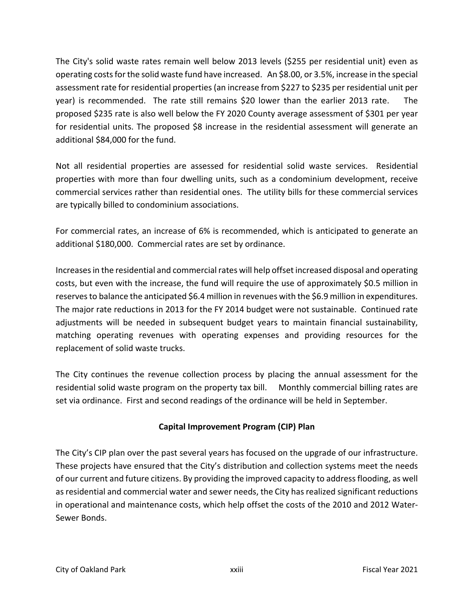The City's solid waste rates remain well below 2013 levels (\$255 per residential unit) even as operating costsforthe solid waste fund have increased. An \$8.00, or 3.5%, increase in the special assessment rate for residential properties (an increase from \$227 to \$235 per residential unit per year) is recommended. The rate still remains \$20 lower than the earlier 2013 rate. The proposed \$235 rate is also well below the FY 2020 County average assessment of \$301 per year for residential units. The proposed \$8 increase in the residential assessment will generate an additional \$84,000 for the fund.

Not all residential properties are assessed for residential solid waste services. Residential properties with more than four dwelling units, such as a condominium development, receive commercial services rather than residential ones. The utility bills for these commercial services are typically billed to condominium associations.

For commercial rates, an increase of 6% is recommended, which is anticipated to generate an additional \$180,000. Commercial rates are set by ordinance.

Increases in the residential and commercial rates will help offset increased disposal and operating costs, but even with the increase, the fund will require the use of approximately \$0.5 million in reserves to balance the anticipated \$6.4 million in revenues with the \$6.9 million in expenditures. The major rate reductions in 2013 for the FY 2014 budget were not sustainable. Continued rate adjustments will be needed in subsequent budget years to maintain financial sustainability, matching operating revenues with operating expenses and providing resources for the replacement of solid waste trucks.

The City continues the revenue collection process by placing the annual assessment for the residential solid waste program on the property tax bill. Monthly commercial billing rates are set via ordinance. First and second readings of the ordinance will be held in September.

# **Capital Improvement Program (CIP) Plan**

The City's CIP plan over the past several years has focused on the upgrade of our infrastructure. These projects have ensured that the City's distribution and collection systems meet the needs of our current and future citizens. By providing the improved capacity to address flooding, as well as residential and commercial water and sewer needs, the City has realized significant reductions in operational and maintenance costs, which help offset the costs of the 2010 and 2012 Water‐ Sewer Bonds.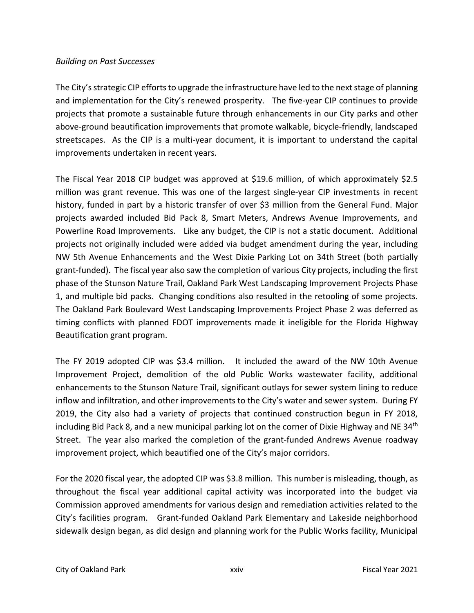### *Building on Past Successes*

The City's strategic CIP efforts to upgrade the infrastructure have led to the next stage of planning and implementation for the City's renewed prosperity. The five‐year CIP continues to provide projects that promote a sustainable future through enhancements in our City parks and other above‐ground beautification improvements that promote walkable, bicycle‐friendly, landscaped streetscapes. As the CIP is a multi-year document, it is important to understand the capital improvements undertaken in recent years.

The Fiscal Year 2018 CIP budget was approved at \$19.6 million, of which approximately \$2.5 million was grant revenue. This was one of the largest single-year CIP investments in recent history, funded in part by a historic transfer of over \$3 million from the General Fund. Major projects awarded included Bid Pack 8, Smart Meters, Andrews Avenue Improvements, and Powerline Road Improvements. Like any budget, the CIP is not a static document. Additional projects not originally included were added via budget amendment during the year, including NW 5th Avenue Enhancements and the West Dixie Parking Lot on 34th Street (both partially grant‐funded). The fiscal year also saw the completion of various City projects, including the first phase of the Stunson Nature Trail, Oakland Park West Landscaping Improvement Projects Phase 1, and multiple bid packs. Changing conditions also resulted in the retooling of some projects. The Oakland Park Boulevard West Landscaping Improvements Project Phase 2 was deferred as timing conflicts with planned FDOT improvements made it ineligible for the Florida Highway Beautification grant program.

The FY 2019 adopted CIP was \$3.4 million. It included the award of the NW 10th Avenue Improvement Project, demolition of the old Public Works wastewater facility, additional enhancements to the Stunson Nature Trail, significant outlays for sewer system lining to reduce inflow and infiltration, and other improvements to the City's water and sewer system. During FY 2019, the City also had a variety of projects that continued construction begun in FY 2018, including Bid Pack 8, and a new municipal parking lot on the corner of Dixie Highway and NE 34<sup>th</sup> Street. The year also marked the completion of the grant-funded Andrews Avenue roadway improvement project, which beautified one of the City's major corridors.

For the 2020 fiscal year, the adopted CIP was \$3.8 million. This number is misleading, though, as throughout the fiscal year additional capital activity was incorporated into the budget via Commission approved amendments for various design and remediation activities related to the City's facilities program. Grant‐funded Oakland Park Elementary and Lakeside neighborhood sidewalk design began, as did design and planning work for the Public Works facility, Municipal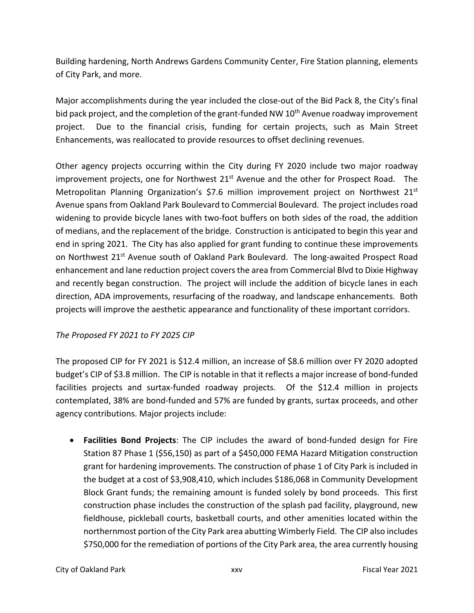Building hardening, North Andrews Gardens Community Center, Fire Station planning, elements of City Park, and more.

Major accomplishments during the year included the close‐out of the Bid Pack 8, the City's final bid pack project, and the completion of the grant-funded NW 10<sup>th</sup> Avenue roadway improvement project. Due to the financial crisis, funding for certain projects, such as Main Street Enhancements, was reallocated to provide resources to offset declining revenues.

Other agency projects occurring within the City during FY 2020 include two major roadway improvement projects, one for Northwest  $21<sup>st</sup>$  Avenue and the other for Prospect Road. The Metropolitan Planning Organization's \$7.6 million improvement project on Northwest 21<sup>st</sup> Avenue spans from Oakland Park Boulevard to Commercial Boulevard. The project includes road widening to provide bicycle lanes with two-foot buffers on both sides of the road, the addition of medians, and the replacement of the bridge. Construction is anticipated to begin this year and end in spring 2021. The City has also applied for grant funding to continue these improvements on Northwest 21<sup>st</sup> Avenue south of Oakland Park Boulevard. The long-awaited Prospect Road enhancement and lane reduction project covers the area from Commercial Blvd to Dixie Highway and recently began construction. The project will include the addition of bicycle lanes in each direction, ADA improvements, resurfacing of the roadway, and landscape enhancements. Both projects will improve the aesthetic appearance and functionality of these important corridors.

# *The Proposed FY 2021 to FY 2025 CIP*

The proposed CIP for FY 2021 is \$12.4 million, an increase of \$8.6 million over FY 2020 adopted budget's CIP of \$3.8 million. The CIP is notable in that it reflects a major increase of bond‐funded facilities projects and surtax-funded roadway projects. Of the \$12.4 million in projects contemplated, 38% are bond‐funded and 57% are funded by grants, surtax proceeds, and other agency contributions. Major projects include:

**• Facilities Bond Projects**: The CIP includes the award of bond-funded design for Fire Station 87 Phase 1 (\$56,150) as part of a \$450,000 FEMA Hazard Mitigation construction grant for hardening improvements. The construction of phase 1 of City Park is included in the budget at a cost of \$3,908,410, which includes \$186,068 in Community Development Block Grant funds; the remaining amount is funded solely by bond proceeds. This first construction phase includes the construction of the splash pad facility, playground, new fieldhouse, pickleball courts, basketball courts, and other amenities located within the northernmost portion of the City Park area abutting Wimberly Field. The CIP also includes \$750,000 for the remediation of portions of the City Park area, the area currently housing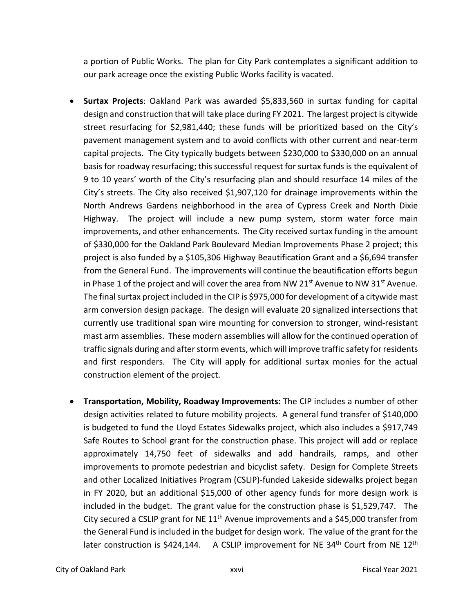a portion of Public Works. The plan for City Park contemplates a significant addition to our park acreage once the existing Public Works facility is vacated.

- **Surtax Projects**: Oakland Park was awarded \$5,833,560 in surtax funding for capital design and construction that will take place during FY 2021. The largest project is citywide street resurfacing for \$2,981,440; these funds will be prioritized based on the City's pavement management system and to avoid conflicts with other current and near‐term capital projects. The City typically budgets between \$230,000 to \$330,000 on an annual basis for roadway resurfacing; this successful request for surtax funds is the equivalent of 9 to 10 years' worth of the City's resurfacing plan and should resurface 14 miles of the City's streets. The City also received \$1,907,120 for drainage improvements within the North Andrews Gardens neighborhood in the area of Cypress Creek and North Dixie Highway. The project will include a new pump system, storm water force main improvements, and other enhancements. The City received surtax funding in the amount of \$330,000 for the Oakland Park Boulevard Median Improvements Phase 2 project; this project is also funded by a \$105,306 Highway Beautification Grant and a \$6,694 transfer from the General Fund. The improvements will continue the beautification efforts begun in Phase 1 of the project and will cover the area from NW 21<sup>st</sup> Avenue to NW 31<sup>st</sup> Avenue. The final surtax project included in the CIP is \$975,000 for development of a citywide mast arm conversion design package. The design will evaluate 20 signalized intersections that currently use traditional span wire mounting for conversion to stronger, wind‐resistant mast arm assemblies. These modern assemblies will allow for the continued operation of traffic signals during and after storm events, which will improve traffic safety for residents and first responders. The City will apply for additional surtax monies for the actual construction element of the project.
- **Transportation, Mobility, Roadway Improvements:** The CIP includes a number of other design activities related to future mobility projects. A general fund transfer of \$140,000 is budgeted to fund the Lloyd Estates Sidewalks project, which also includes a \$917,749 Safe Routes to School grant for the construction phase. This project will add or replace approximately 14,750 feet of sidewalks and add handrails, ramps, and other improvements to promote pedestrian and bicyclist safety. Design for Complete Streets and other Localized Initiatives Program (CSLIP)‐funded Lakeside sidewalks project began in FY 2020, but an additional \$15,000 of other agency funds for more design work is included in the budget. The grant value for the construction phase is \$1,529,747. The City secured a CSLIP grant for NE  $11<sup>th</sup>$  Avenue improvements and a \$45,000 transfer from the General Fund is included in the budget for design work. The value of the grant for the later construction is \$424,144. A CSLIP improvement for NE  $34<sup>th</sup>$  Court from NE  $12<sup>th</sup>$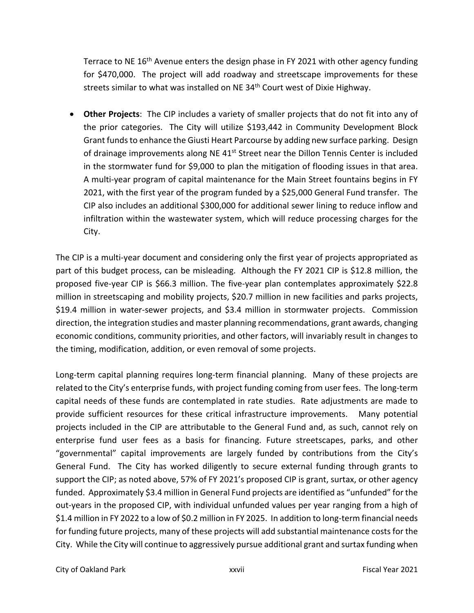Terrace to NE 16<sup>th</sup> Avenue enters the design phase in FY 2021 with other agency funding for \$470,000. The project will add roadway and streetscape improvements for these streets similar to what was installed on NE 34<sup>th</sup> Court west of Dixie Highway.

 **Other Projects**: The CIP includes a variety of smaller projects that do not fit into any of the prior categories. The City will utilize \$193,442 in Community Development Block Grant funds to enhance the Giusti Heart Parcourse by adding new surface parking. Design of drainage improvements along NE 41<sup>st</sup> Street near the Dillon Tennis Center is included in the stormwater fund for \$9,000 to plan the mitigation of flooding issues in that area. A multi‐year program of capital maintenance for the Main Street fountains begins in FY 2021, with the first year of the program funded by a \$25,000 General Fund transfer. The CIP also includes an additional \$300,000 for additional sewer lining to reduce inflow and infiltration within the wastewater system, which will reduce processing charges for the City.

The CIP is a multi-year document and considering only the first year of projects appropriated as part of this budget process, can be misleading. Although the FY 2021 CIP is \$12.8 million, the proposed five‐year CIP is \$66.3 million. The five‐year plan contemplates approximately \$22.8 million in streetscaping and mobility projects, \$20.7 million in new facilities and parks projects, \$19.4 million in water‐sewer projects, and \$3.4 million in stormwater projects. Commission direction, the integration studies and master planning recommendations, grant awards, changing economic conditions, community priorities, and other factors, will invariably result in changes to the timing, modification, addition, or even removal of some projects.

Long-term capital planning requires long-term financial planning. Many of these projects are related to the City's enterprise funds, with project funding coming from user fees. The long-term capital needs of these funds are contemplated in rate studies. Rate adjustments are made to provide sufficient resources for these critical infrastructure improvements. Many potential projects included in the CIP are attributable to the General Fund and, as such, cannot rely on enterprise fund user fees as a basis for financing. Future streetscapes, parks, and other "governmental" capital improvements are largely funded by contributions from the City's General Fund. The City has worked diligently to secure external funding through grants to support the CIP; as noted above, 57% of FY 2021's proposed CIP is grant, surtax, or other agency funded. Approximately \$3.4 million in General Fund projects are identified as "unfunded" for the out‐years in the proposed CIP, with individual unfunded values per year ranging from a high of \$1.4 million in FY 2022 to a low of \$0.2 million in FY 2025. In addition to long-term financial needs for funding future projects, many of these projects will add substantial maintenance costs for the City. While the City will continue to aggressively pursue additional grant and surtax funding when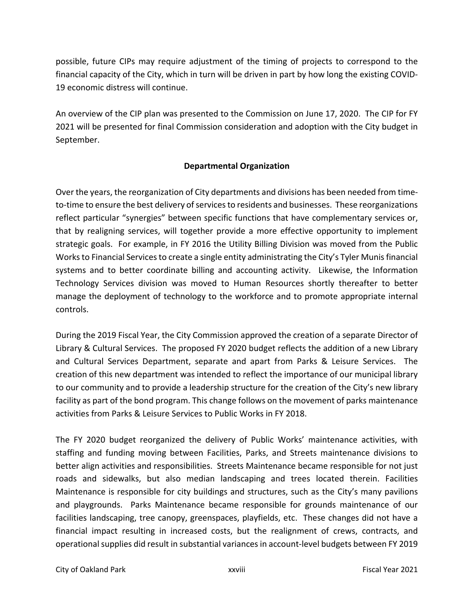possible, future CIPs may require adjustment of the timing of projects to correspond to the financial capacity of the City, which in turn will be driven in part by how long the existing COVID‐ 19 economic distress will continue.

An overview of the CIP plan was presented to the Commission on June 17, 2020. The CIP for FY 2021 will be presented for final Commission consideration and adoption with the City budget in September.

# **Departmental Organization**

Over the years, the reorganization of City departments and divisions has been needed from time‐ to-time to ensure the best delivery of services to residents and businesses. These reorganizations reflect particular "synergies" between specific functions that have complementary services or, that by realigning services, will together provide a more effective opportunity to implement strategic goals. For example, in FY 2016 the Utility Billing Division was moved from the Public Works to Financial Services to create a single entity administrating the City's Tyler Munis financial systems and to better coordinate billing and accounting activity. Likewise, the Information Technology Services division was moved to Human Resources shortly thereafter to better manage the deployment of technology to the workforce and to promote appropriate internal controls.

During the 2019 Fiscal Year, the City Commission approved the creation of a separate Director of Library & Cultural Services. The proposed FY 2020 budget reflects the addition of a new Library and Cultural Services Department, separate and apart from Parks & Leisure Services. The creation of this new department was intended to reflect the importance of our municipal library to our community and to provide a leadership structure for the creation of the City's new library facility as part of the bond program. This change follows on the movement of parks maintenance activities from Parks & Leisure Services to Public Works in FY 2018.

The FY 2020 budget reorganized the delivery of Public Works' maintenance activities, with staffing and funding moving between Facilities, Parks, and Streets maintenance divisions to better align activities and responsibilities. Streets Maintenance became responsible for not just roads and sidewalks, but also median landscaping and trees located therein. Facilities Maintenance is responsible for city buildings and structures, such as the City's many pavilions and playgrounds. Parks Maintenance became responsible for grounds maintenance of our facilities landscaping, tree canopy, greenspaces, playfields, etc. These changes did not have a financial impact resulting in increased costs, but the realignment of crews, contracts, and operational supplies did result in substantial variances in account‐level budgets between FY 2019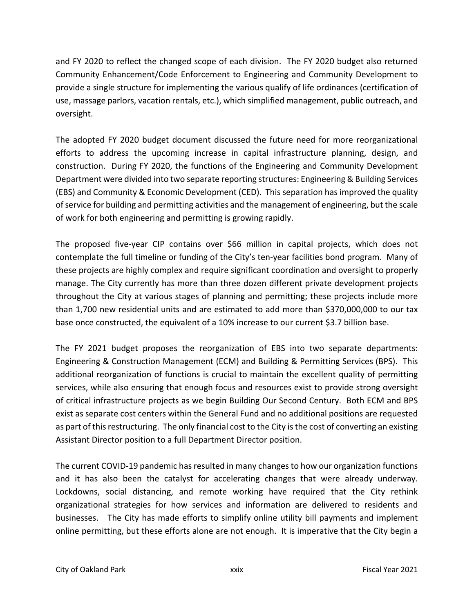and FY 2020 to reflect the changed scope of each division. The FY 2020 budget also returned Community Enhancement/Code Enforcement to Engineering and Community Development to provide a single structure for implementing the various qualify of life ordinances (certification of use, massage parlors, vacation rentals, etc.), which simplified management, public outreach, and oversight.

The adopted FY 2020 budget document discussed the future need for more reorganizational efforts to address the upcoming increase in capital infrastructure planning, design, and construction. During FY 2020, the functions of the Engineering and Community Development Department were divided into two separate reporting structures: Engineering & Building Services (EBS) and Community & Economic Development (CED). This separation has improved the quality of service for building and permitting activities and the management of engineering, but the scale of work for both engineering and permitting is growing rapidly.

The proposed five-year CIP contains over \$66 million in capital projects, which does not contemplate the full timeline or funding of the City's ten‐year facilities bond program. Many of these projects are highly complex and require significant coordination and oversight to properly manage. The City currently has more than three dozen different private development projects throughout the City at various stages of planning and permitting; these projects include more than 1,700 new residential units and are estimated to add more than \$370,000,000 to our tax base once constructed, the equivalent of a 10% increase to our current \$3.7 billion base.

The FY 2021 budget proposes the reorganization of EBS into two separate departments: Engineering & Construction Management (ECM) and Building & Permitting Services (BPS). This additional reorganization of functions is crucial to maintain the excellent quality of permitting services, while also ensuring that enough focus and resources exist to provide strong oversight of critical infrastructure projects as we begin Building Our Second Century. Both ECM and BPS exist as separate cost centers within the General Fund and no additional positions are requested as part of this restructuring. The only financial cost to the City is the cost of converting an existing Assistant Director position to a full Department Director position.

The current COVID-19 pandemic has resulted in many changes to how our organization functions and it has also been the catalyst for accelerating changes that were already underway. Lockdowns, social distancing, and remote working have required that the City rethink organizational strategies for how services and information are delivered to residents and businesses. The City has made efforts to simplify online utility bill payments and implement online permitting, but these efforts alone are not enough. It is imperative that the City begin a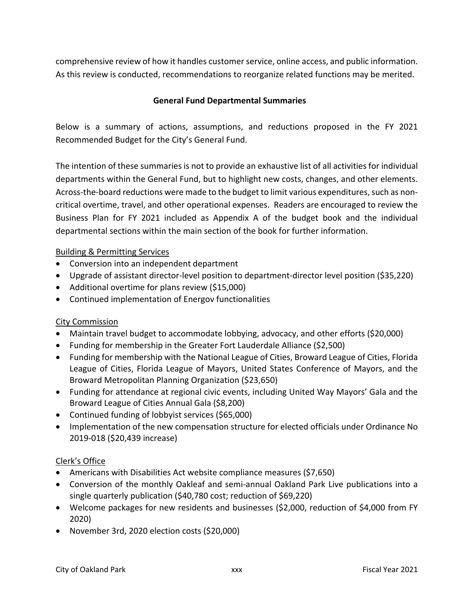comprehensive review of how it handles customer service, online access, and public information. As this review is conducted, recommendations to reorganize related functions may be merited.

# **General Fund Departmental Summaries**

Below is a summary of actions, assumptions, and reductions proposed in the FY 2021 Recommended Budget for the City's General Fund.

The intention of these summaries is not to provide an exhaustive list of all activities for individual departments within the General Fund, but to highlight new costs, changes, and other elements. Across‐the‐board reductions were made to the budget to limit various expenditures, such as non‐ critical overtime, travel, and other operational expenses. Readers are encouraged to review the Business Plan for FY 2021 included as Appendix A of the budget book and the individual departmental sections within the main section of the book for further information.

# Building & Permitting Services

- Conversion into an independent department
- Upgrade of assistant director-level position to department-director level position (\$35,220)
- Additional overtime for plans review (\$15,000)
- Continued implementation of Energov functionalities

### City Commission

- Maintain travel budget to accommodate lobbying, advocacy, and other efforts (\$20,000)
- Funding for membership in the Greater Fort Lauderdale Alliance (\$2,500)
- Funding for membership with the National League of Cities, Broward League of Cities, Florida League of Cities, Florida League of Mayors, United States Conference of Mayors, and the Broward Metropolitan Planning Organization (\$23,650)
- Funding for attendance at regional civic events, including United Way Mayors' Gala and the Broward League of Cities Annual Gala (\$8,200)
- Continued funding of lobbyist services (\$65,000)
- Implementation of the new compensation structure for elected officials under Ordinance No 2019‐018 (\$20,439 increase)

### Clerk's Office

- Americans with Disabilities Act website compliance measures (\$7,650)
- Conversion of the monthly Oakleaf and semi-annual Oakland Park Live publications into a single quarterly publication (\$40,780 cost; reduction of \$69,220)
- Welcome packages for new residents and businesses (\$2,000, reduction of \$4,000 from FY 2020)
- November 3rd, 2020 election costs (\$20,000)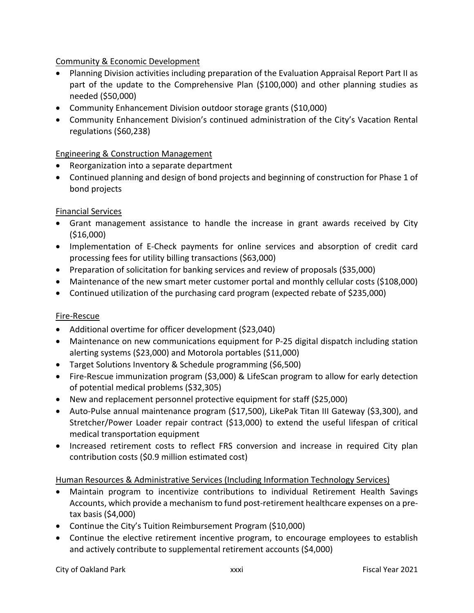# Community & Economic Development

- Planning Division activities including preparation of the Evaluation Appraisal Report Part II as part of the update to the Comprehensive Plan (\$100,000) and other planning studies as needed (\$50,000)
- Community Enhancement Division outdoor storage grants (\$10,000)
- Community Enhancement Division's continued administration of the City's Vacation Rental regulations (\$60,238)

# Engineering & Construction Management

- Reorganization into a separate department
- Continued planning and design of bond projects and beginning of construction for Phase 1 of bond projects

# Financial Services

- Grant management assistance to handle the increase in grant awards received by City (\$16,000)
- Implementation of E-Check payments for online services and absorption of credit card processing fees for utility billing transactions (\$63,000)
- Preparation of solicitation for banking services and review of proposals (\$35,000)
- Maintenance of the new smart meter customer portal and monthly cellular costs (\$108,000)
- Continued utilization of the purchasing card program (expected rebate of \$235,000)

### Fire‐Rescue

- Additional overtime for officer development (\$23,040)
- Maintenance on new communications equipment for P-25 digital dispatch including station alerting systems (\$23,000) and Motorola portables (\$11,000)
- Target Solutions Inventory & Schedule programming (\$6,500)
- Fire-Rescue immunization program (\$3,000) & LifeScan program to allow for early detection of potential medical problems (\$32,305)
- New and replacement personnel protective equipment for staff (\$25,000)
- Auto-Pulse annual maintenance program (\$17,500), LikePak Titan III Gateway (\$3,300), and Stretcher/Power Loader repair contract (\$13,000) to extend the useful lifespan of critical medical transportation equipment
- Increased retirement costs to reflect FRS conversion and increase in required City plan contribution costs (\$0.9 million estimated cost)

### Human Resources & Administrative Services (Including Information Technology Services)

- Maintain program to incentivize contributions to individual Retirement Health Savings Accounts, which provide a mechanism to fund post-retirement healthcare expenses on a pretax basis (\$4,000)
- Continue the City's Tuition Reimbursement Program (\$10,000)
- Continue the elective retirement incentive program, to encourage employees to establish and actively contribute to supplemental retirement accounts (\$4,000)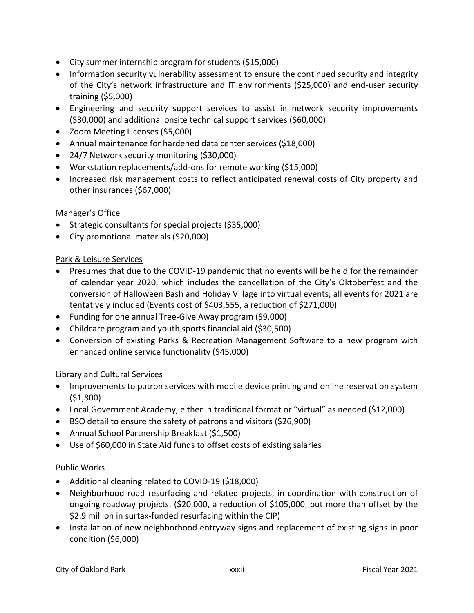- City summer internship program for students (\$15,000)
- Information security vulnerability assessment to ensure the continued security and integrity of the City's network infrastructure and IT environments (\$25,000) and end‐user security training (\$5,000)
- Engineering and security support services to assist in network security improvements (\$30,000) and additional onsite technical support services (\$60,000)
- Zoom Meeting Licenses (\$5,000)
- Annual maintenance for hardened data center services (\$18,000)
- 24/7 Network security monitoring (\$30,000)
- Workstation replacements/add‐ons for remote working (\$15,000)
- Increased risk management costs to reflect anticipated renewal costs of City property and other insurances (\$67,000)

# Manager's Office

- Strategic consultants for special projects (\$35,000)
- City promotional materials (\$20,000)

# Park & Leisure Services

- Presumes that due to the COVID-19 pandemic that no events will be held for the remainder of calendar year 2020, which includes the cancellation of the City's Oktoberfest and the conversion of Halloween Bash and Holiday Village into virtual events; all events for 2021 are tentatively included (Events cost of \$403,555, a reduction of \$271,000)
- Funding for one annual Tree‐Give Away program (\$9,000)
- Childcare program and youth sports financial aid (\$30,500)
- Conversion of existing Parks & Recreation Management Software to a new program with enhanced online service functionality (\$45,000)

# Library and Cultural Services

- Improvements to patron services with mobile device printing and online reservation system (\$1,800)
- Local Government Academy, either in traditional format or "virtual" as needed (\$12,000)
- BSO detail to ensure the safety of patrons and visitors (\$26,900)
- Annual School Partnership Breakfast (\$1,500)
- Use of \$60,000 in State Aid funds to offset costs of existing salaries

### Public Works

- Additional cleaning related to COVID-19 (\$18,000)
- Neighborhood road resurfacing and related projects, in coordination with construction of ongoing roadway projects. (\$20,000, a reduction of \$105,000, but more than offset by the \$2.9 million in surtax-funded resurfacing within the CIP)
- Installation of new neighborhood entryway signs and replacement of existing signs in poor condition (\$6,000)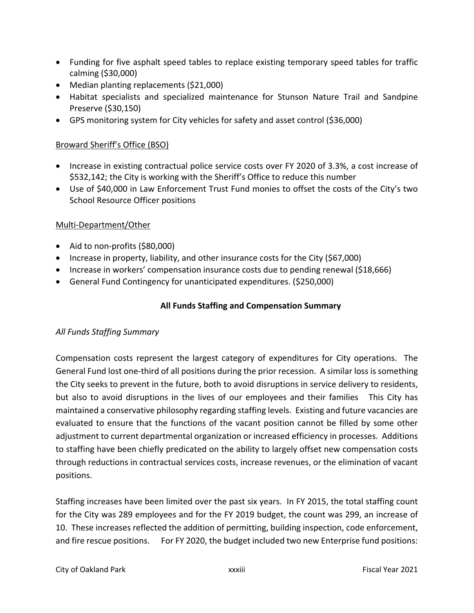- Funding for five asphalt speed tables to replace existing temporary speed tables for traffic calming (\$30,000)
- Median planting replacements (\$21,000)
- Habitat specialists and specialized maintenance for Stunson Nature Trail and Sandpine Preserve (\$30,150)
- GPS monitoring system for City vehicles for safety and asset control (\$36,000)

# Broward Sheriff's Office (BSO)

- Increase in existing contractual police service costs over FY 2020 of 3.3%, a cost increase of \$532,142; the City is working with the Sheriff's Office to reduce this number
- Use of \$40,000 in Law Enforcement Trust Fund monies to offset the costs of the City's two School Resource Officer positions

# Multi‐Department/Other

- Aid to non-profits (\$80,000)
- Increase in property, liability, and other insurance costs for the City (\$67,000)
- Increase in workers' compensation insurance costs due to pending renewal (\$18,666)
- General Fund Contingency for unanticipated expenditures. (\$250,000)

# **All Funds Staffing and Compensation Summary**

# *All Funds Staffing Summary*

Compensation costs represent the largest category of expenditures for City operations. The General Fund lost one‐third of all positions during the prior recession. A similar loss is something the City seeks to prevent in the future, both to avoid disruptions in service delivery to residents, but also to avoid disruptions in the lives of our employees and their families This City has maintained a conservative philosophy regarding staffing levels. Existing and future vacancies are evaluated to ensure that the functions of the vacant position cannot be filled by some other adjustment to current departmental organization or increased efficiency in processes. Additions to staffing have been chiefly predicated on the ability to largely offset new compensation costs through reductions in contractual services costs, increase revenues, or the elimination of vacant positions.

Staffing increases have been limited over the past six years. In FY 2015, the total staffing count for the City was 289 employees and for the FY 2019 budget, the count was 299, an increase of 10. These increases reflected the addition of permitting, building inspection, code enforcement, and fire rescue positions. For FY 2020, the budget included two new Enterprise fund positions: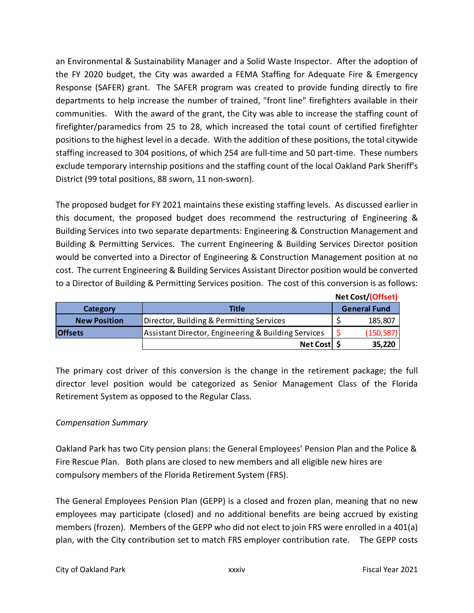an Environmental & Sustainability Manager and a Solid Waste Inspector. After the adoption of the FY 2020 budget, the City was awarded a FEMA Staffing for Adequate Fire & Emergency Response (SAFER) grant. The SAFER program was created to provide funding directly to fire departments to help increase the number of trained, "front line" firefighters available in their communities. With the award of the grant, the City was able to increase the staffing count of firefighter/paramedics from 25 to 28, which increased the total count of certified firefighter positions to the highest level in a decade. With the addition of these positions, the total citywide staffing increased to 304 positions, of which 254 are full-time and 50 part-time. These numbers exclude temporary internship positions and the staffing count of the local Oakland Park Sheriff's District (99 total positions, 88 sworn, 11 non-sworn).

The proposed budget for FY 2021 maintains these existing staffing levels. As discussed earlier in this document, the proposed budget does recommend the restructuring of Engineering & Building Services into two separate departments: Engineering & Construction Management and Building & Permitting Services. The current Engineering & Building Services Director position would be converted into a Director of Engineering & Construction Management position at no cost. The current Engineering & Building Services Assistant Director position would be converted to a Director of Building & Permitting Services position. The cost of this conversion is as follows:

|                     |                                                     | Net Cost/(Offset)   |
|---------------------|-----------------------------------------------------|---------------------|
| Category            | Title                                               | <b>General Fund</b> |
| <b>New Position</b> | Director, Building & Permitting Services            | 185,807             |
| <b>Offsets</b>      | Assistant Director, Engineering & Building Services | (150, 587)          |
|                     | Net Cost \$                                         | 35,220              |

The primary cost driver of this conversion is the change in the retirement package; the full director level position would be categorized as Senior Management Class of the Florida Retirement System as opposed to the Regular Class.

# *Compensation Summary*

Oakland Park has two City pension plans: the General Employees' Pension Plan and the Police & Fire Rescue Plan. Both plans are closed to new members and all eligible new hires are compulsory members of the Florida Retirement System (FRS).

The General Employees Pension Plan (GEPP) is a closed and frozen plan, meaning that no new employees may participate (closed) and no additional benefits are being accrued by existing members (frozen). Members of the GEPP who did not elect to join FRS were enrolled in a 401(a) plan, with the City contribution set to match FRS employer contribution rate. The GEPP costs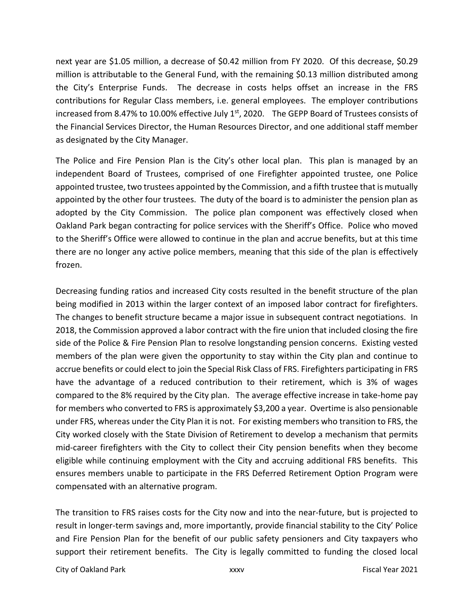next year are \$1.05 million, a decrease of \$0.42 million from FY 2020. Of this decrease, \$0.29 million is attributable to the General Fund, with the remaining \$0.13 million distributed among the City's Enterprise Funds. The decrease in costs helps offset an increase in the FRS contributions for Regular Class members, i.e. general employees. The employer contributions increased from 8.47% to 10.00% effective July  $1<sup>st</sup>$ , 2020. The GEPP Board of Trustees consists of the Financial Services Director, the Human Resources Director, and one additional staff member as designated by the City Manager.

The Police and Fire Pension Plan is the City's other local plan. This plan is managed by an independent Board of Trustees, comprised of one Firefighter appointed trustee, one Police appointed trustee, two trustees appointed by the Commission, and a fifth trustee that is mutually appointed by the other four trustees. The duty of the board is to administer the pension plan as adopted by the City Commission. The police plan component was effectively closed when Oakland Park began contracting for police services with the Sheriff's Office. Police who moved to the Sheriff's Office were allowed to continue in the plan and accrue benefits, but at this time there are no longer any active police members, meaning that this side of the plan is effectively frozen.

Decreasing funding ratios and increased City costs resulted in the benefit structure of the plan being modified in 2013 within the larger context of an imposed labor contract for firefighters. The changes to benefit structure became a major issue in subsequent contract negotiations. In 2018, the Commission approved a labor contract with the fire union that included closing the fire side of the Police & Fire Pension Plan to resolve longstanding pension concerns. Existing vested members of the plan were given the opportunity to stay within the City plan and continue to accrue benefits or could elect to join the Special Risk Class of FRS. Firefighters participating in FRS have the advantage of a reduced contribution to their retirement, which is 3% of wages compared to the 8% required by the City plan. The average effective increase in take-home pay for members who converted to FRS is approximately \$3,200 a year. Overtime is also pensionable under FRS, whereas under the City Plan it is not. For existing members who transition to FRS, the City worked closely with the State Division of Retirement to develop a mechanism that permits mid‐career firefighters with the City to collect their City pension benefits when they become eligible while continuing employment with the City and accruing additional FRS benefits. This ensures members unable to participate in the FRS Deferred Retirement Option Program were compensated with an alternative program.

The transition to FRS raises costs for the City now and into the near-future, but is projected to result in longer‐term savings and, more importantly, provide financial stability to the City' Police and Fire Pension Plan for the benefit of our public safety pensioners and City taxpayers who support their retirement benefits. The City is legally committed to funding the closed local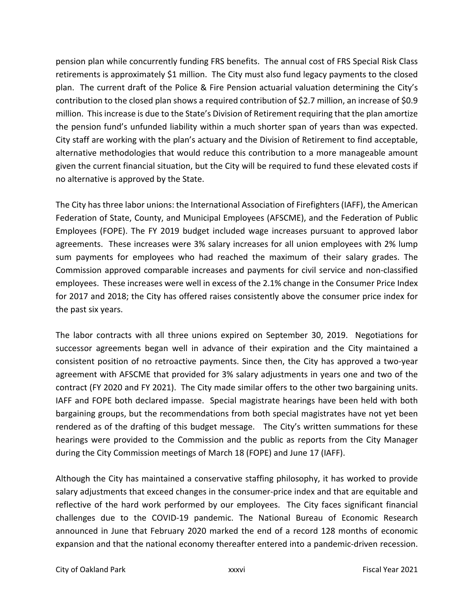pension plan while concurrently funding FRS benefits. The annual cost of FRS Special Risk Class retirements is approximately \$1 million. The City must also fund legacy payments to the closed plan. The current draft of the Police & Fire Pension actuarial valuation determining the City's contribution to the closed plan shows a required contribution of \$2.7 million, an increase of \$0.9 million. This increase is due to the State's Division of Retirement requiring that the plan amortize the pension fund's unfunded liability within a much shorter span of years than was expected. City staff are working with the plan's actuary and the Division of Retirement to find acceptable, alternative methodologies that would reduce this contribution to a more manageable amount given the current financial situation, but the City will be required to fund these elevated costs if no alternative is approved by the State.

The City has three labor unions: the International Association of Firefighters (IAFF), the American Federation of State, County, and Municipal Employees (AFSCME), and the Federation of Public Employees (FOPE). The FY 2019 budget included wage increases pursuant to approved labor agreements. These increases were 3% salary increases for all union employees with 2% lump sum payments for employees who had reached the maximum of their salary grades. The Commission approved comparable increases and payments for civil service and non‐classified employees. These increases were well in excess of the 2.1% change in the Consumer Price Index for 2017 and 2018; the City has offered raises consistently above the consumer price index for the past six years.

The labor contracts with all three unions expired on September 30, 2019. Negotiations for successor agreements began well in advance of their expiration and the City maintained a consistent position of no retroactive payments. Since then, the City has approved a two‐year agreement with AFSCME that provided for 3% salary adjustments in years one and two of the contract (FY 2020 and FY 2021). The City made similar offers to the other two bargaining units. IAFF and FOPE both declared impasse. Special magistrate hearings have been held with both bargaining groups, but the recommendations from both special magistrates have not yet been rendered as of the drafting of this budget message. The City's written summations for these hearings were provided to the Commission and the public as reports from the City Manager during the City Commission meetings of March 18 (FOPE) and June 17 (IAFF).

Although the City has maintained a conservative staffing philosophy, it has worked to provide salary adjustments that exceed changes in the consumer‐price index and that are equitable and reflective of the hard work performed by our employees. The City faces significant financial challenges due to the COVID‐19 pandemic. The National Bureau of Economic Research announced in June that February 2020 marked the end of a record 128 months of economic expansion and that the national economy thereafter entered into a pandemic‐driven recession.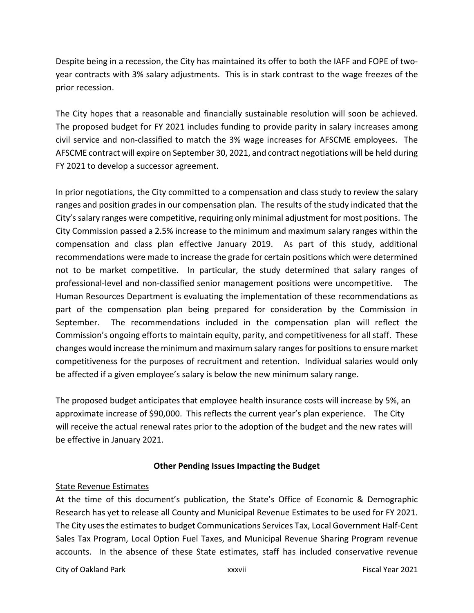Despite being in a recession, the City has maintained its offer to both the IAFF and FOPE of twoyear contracts with 3% salary adjustments. This is in stark contrast to the wage freezes of the prior recession.

The City hopes that a reasonable and financially sustainable resolution will soon be achieved. The proposed budget for FY 2021 includes funding to provide parity in salary increases among civil service and non‐classified to match the 3% wage increases for AFSCME employees. The AFSCME contract will expire on September 30, 2021, and contract negotiations will be held during FY 2021 to develop a successor agreement.

In prior negotiations, the City committed to a compensation and class study to review the salary ranges and position grades in our compensation plan. The results of the study indicated that the City's salary ranges were competitive, requiring only minimal adjustment for most positions. The City Commission passed a 2.5% increase to the minimum and maximum salary ranges within the compensation and class plan effective January 2019. As part of this study, additional recommendations were made to increase the grade for certain positions which were determined not to be market competitive. In particular, the study determined that salary ranges of professional‐level and non‐classified senior management positions were uncompetitive. The Human Resources Department is evaluating the implementation of these recommendations as part of the compensation plan being prepared for consideration by the Commission in September. The recommendations included in the compensation plan will reflect the Commission's ongoing efforts to maintain equity, parity, and competitiveness for all staff. These changes would increase the minimum and maximum salary ranges for positions to ensure market competitiveness for the purposes of recruitment and retention. Individual salaries would only be affected if a given employee's salary is below the new minimum salary range.

The proposed budget anticipates that employee health insurance costs will increase by 5%, an approximate increase of \$90,000. This reflects the current year's plan experience. The City will receive the actual renewal rates prior to the adoption of the budget and the new rates will be effective in January 2021.

### **Other Pending Issues Impacting the Budget**

### State Revenue Estimates

At the time of this document's publication, the State's Office of Economic & Demographic Research has yet to release all County and Municipal Revenue Estimates to be used for FY 2021. The City uses the estimates to budget Communications Services Tax, Local Government Half‐Cent Sales Tax Program, Local Option Fuel Taxes, and Municipal Revenue Sharing Program revenue accounts. In the absence of these State estimates, staff has included conservative revenue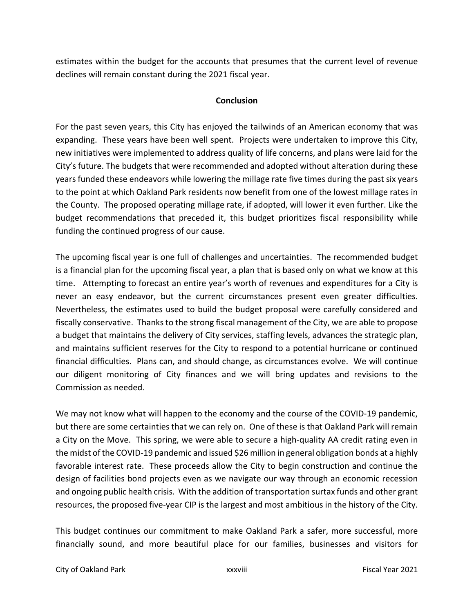estimates within the budget for the accounts that presumes that the current level of revenue declines will remain constant during the 2021 fiscal year.

### **Conclusion**

For the past seven years, this City has enjoyed the tailwinds of an American economy that was expanding. These years have been well spent. Projects were undertaken to improve this City, new initiatives were implemented to address quality of life concerns, and plans were laid for the City's future. The budgets that were recommended and adopted without alteration during these years funded these endeavors while lowering the millage rate five times during the past six years to the point at which Oakland Park residents now benefit from one of the lowest millage rates in the County. The proposed operating millage rate, if adopted, will lower it even further. Like the budget recommendations that preceded it, this budget prioritizes fiscal responsibility while funding the continued progress of our cause.

The upcoming fiscal year is one full of challenges and uncertainties. The recommended budget is a financial plan for the upcoming fiscal year, a plan that is based only on what we know at this time. Attempting to forecast an entire year's worth of revenues and expenditures for a City is never an easy endeavor, but the current circumstances present even greater difficulties. Nevertheless, the estimates used to build the budget proposal were carefully considered and fiscally conservative. Thanks to the strong fiscal management of the City, we are able to propose a budget that maintains the delivery of City services, staffing levels, advances the strategic plan, and maintains sufficient reserves for the City to respond to a potential hurricane or continued financial difficulties. Plans can, and should change, as circumstances evolve. We will continue our diligent monitoring of City finances and we will bring updates and revisions to the Commission as needed.

We may not know what will happen to the economy and the course of the COVID-19 pandemic, but there are some certainties that we can rely on. One of these is that Oakland Park will remain a City on the Move. This spring, we were able to secure a high‐quality AA credit rating even in the midst of the COVID-19 pandemic and issued \$26 million in general obligation bonds at a highly favorable interest rate. These proceeds allow the City to begin construction and continue the design of facilities bond projects even as we navigate our way through an economic recession and ongoing public health crisis. With the addition of transportation surtax funds and other grant resources, the proposed five-year CIP is the largest and most ambitious in the history of the City.

This budget continues our commitment to make Oakland Park a safer, more successful, more financially sound, and more beautiful place for our families, businesses and visitors for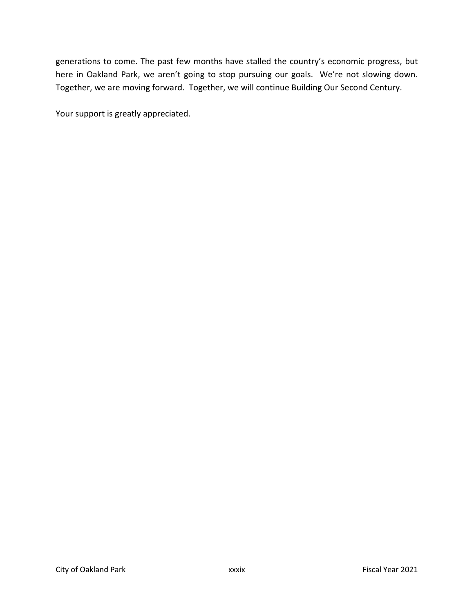generations to come. The past few months have stalled the country's economic progress, but here in Oakland Park, we aren't going to stop pursuing our goals. We're not slowing down. Together, we are moving forward. Together, we will continue Building Our Second Century.

Your support is greatly appreciated.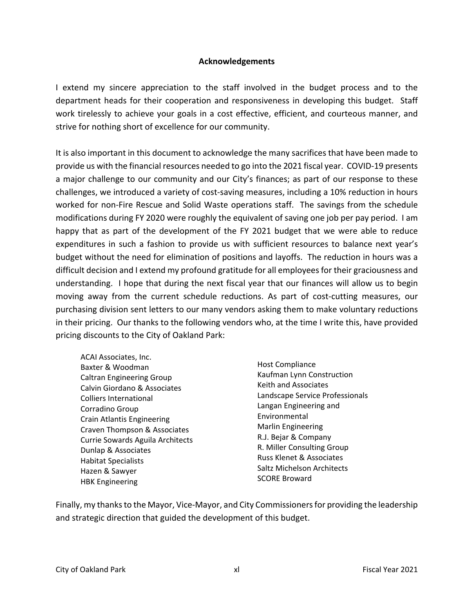#### **Acknowledgements**

I extend my sincere appreciation to the staff involved in the budget process and to the department heads for their cooperation and responsiveness in developing this budget. Staff work tirelessly to achieve your goals in a cost effective, efficient, and courteous manner, and strive for nothing short of excellence for our community.

It is also important in this document to acknowledge the many sacrifices that have been made to provide us with the financial resources needed to go into the 2021 fiscal year. COVID‐19 presents a major challenge to our community and our City's finances; as part of our response to these challenges, we introduced a variety of cost‐saving measures, including a 10% reduction in hours worked for non-Fire Rescue and Solid Waste operations staff. The savings from the schedule modifications during FY 2020 were roughly the equivalent of saving one job per pay period. I am happy that as part of the development of the FY 2021 budget that we were able to reduce expenditures in such a fashion to provide us with sufficient resources to balance next year's budget without the need for elimination of positions and layoffs. The reduction in hours was a difficult decision and I extend my profound gratitude for all employees for their graciousness and understanding. I hope that during the next fiscal year that our finances will allow us to begin moving away from the current schedule reductions. As part of cost-cutting measures, our purchasing division sent letters to our many vendors asking them to make voluntary reductions in their pricing. Our thanks to the following vendors who, at the time I write this, have provided pricing discounts to the City of Oakland Park:

- ACAI Associates, Inc. Baxter & Woodman Caltran Engineering Group Calvin Giordano & Associates Colliers International Corradino Group Crain Atlantis Engineering Craven Thompson & Associates Currie Sowards Aguila Architects Dunlap & Associates Habitat Specialists Hazen & Sawyer HBK Engineering
- Host Compliance Kaufman Lynn Construction Keith and Associates Landscape Service Professionals Langan Engineering and Environmental Marlin Engineering R.J. Bejar & Company R. Miller Consulting Group Russ Klenet & Associates Saltz Michelson Architects SCORE Broward

Finally, my thanks to the Mayor, Vice‐Mayor, and City Commissioners for providing the leadership and strategic direction that guided the development of this budget.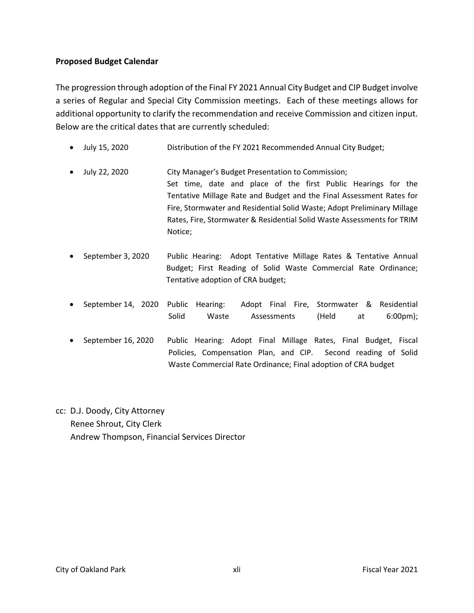### **Proposed Budget Calendar**

The progression through adoption of the Final FY 2021 Annual City Budget and CIP Budget involve a series of Regular and Special City Commission meetings. Each of these meetings allows for additional opportunity to clarify the recommendation and receive Commission and citizen input. Below are the critical dates that are currently scheduled:

- July 15, 2020 Distribution of the FY 2021 Recommended Annual City Budget;
- July 22, 2020 City Manager's Budget Presentation to Commission; Set time, date and place of the first Public Hearings for the Tentative Millage Rate and Budget and the Final Assessment Rates for Fire, Stormwater and Residential Solid Waste; Adopt Preliminary Millage Rates, Fire, Stormwater & Residential Solid Waste Assessments for TRIM Notice;
- September 3, 2020 Public Hearing: Adopt Tentative Millage Rates & Tentative Annual Budget; First Reading of Solid Waste Commercial Rate Ordinance; Tentative adoption of CRA budget;
- September 14, 2020 Public Hearing: Adopt Final Fire, Stormwater & Residential Solid Waste Assessments (Held at 6:00pm);
- September 16, 2020 Public Hearing: Adopt Final Millage Rates, Final Budget, Fiscal Policies, Compensation Plan, and CIP. Second reading of Solid Waste Commercial Rate Ordinance; Final adoption of CRA budget

cc: D.J. Doody, City Attorney Renee Shrout, City Clerk Andrew Thompson, Financial Services Director